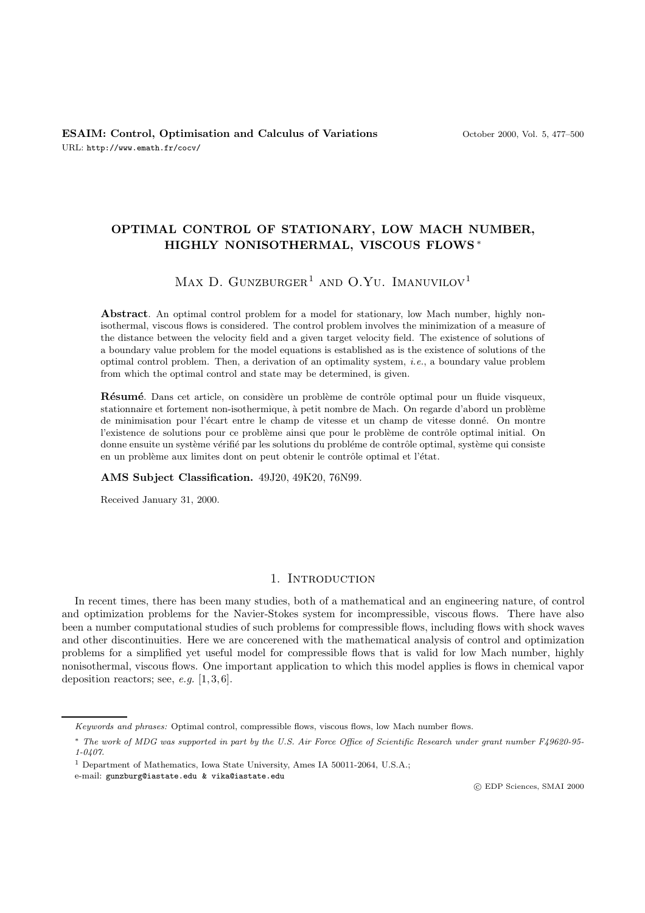## **OPTIMAL CONTROL OF STATIONARY, LOW MACH NUMBER, HIGHLY NONISOTHERMAL, VISCOUS FLOWS** ∗

# MAX D. GUNZBURGER<sup>1</sup> AND O.YU. IMANUVILOV<sup>1</sup>

**Abstract**. An optimal control problem for a model for stationary, low Mach number, highly nonisothermal, viscous flows is considered. The control problem involves the minimization of a measure of the distance between the velocity field and a given target velocity field. The existence of solutions of a boundary value problem for the model equations is established as is the existence of solutions of the optimal control problem. Then, a derivation of an optimality system, i.e., a boundary value problem from which the optimal control and state may be determined, is given.

Résumé. Dans cet article, on considère un problème de contrôle optimal pour un fluide visqueux, stationnaire et fortement non-isothermique, à petit nombre de Mach. On regarde d'abord un problème de minimisation pour l'écart entre le champ de vitesse et un champ de vitesse donné. On montre l'existence de solutions pour ce problème ainsi que pour le problème de contrôle optimal initial. On donne ensuite un système vérifié par les solutions du probléme de contrôle optimal, système qui consiste en un problème aux limites dont on peut obtenir le contrôle optimal et l'état.

#### **AMS Subject Classification.** 49J20, 49K20, 76N99.

Received January 31, 2000.

### 1. INTRODUCTION

In recent times, there has been many studies, both of a mathematical and an engineering nature, of control and optimization problems for the Navier-Stokes system for incompressible, viscous flows. There have also been a number computational studies of such problems for compressible flows, including flows with shock waves and other discontinuities. Here we are concerened with the mathematical analysis of control and optimization problems for a simplified yet useful model for compressible flows that is valid for low Mach number, highly nonisothermal, viscous flows. One important application to which this model applies is flows in chemical vapor deposition reactors; see,  $e.g.$  [1, 3, 6].

Keywords and phrases: Optimal control, compressible flows, viscous flows, low Mach number flows.

<sup>∗</sup> The work of MDG was supported in part by the U.S. Air Force Office of Scientific Research under grant number F49620-95- 1-0407.

<sup>1</sup> Department of Mathematics, Iowa State University, Ames IA 50011-2064, U.S.A.;

e-mail: gunzburg@iastate.edu & vika@iastate.edu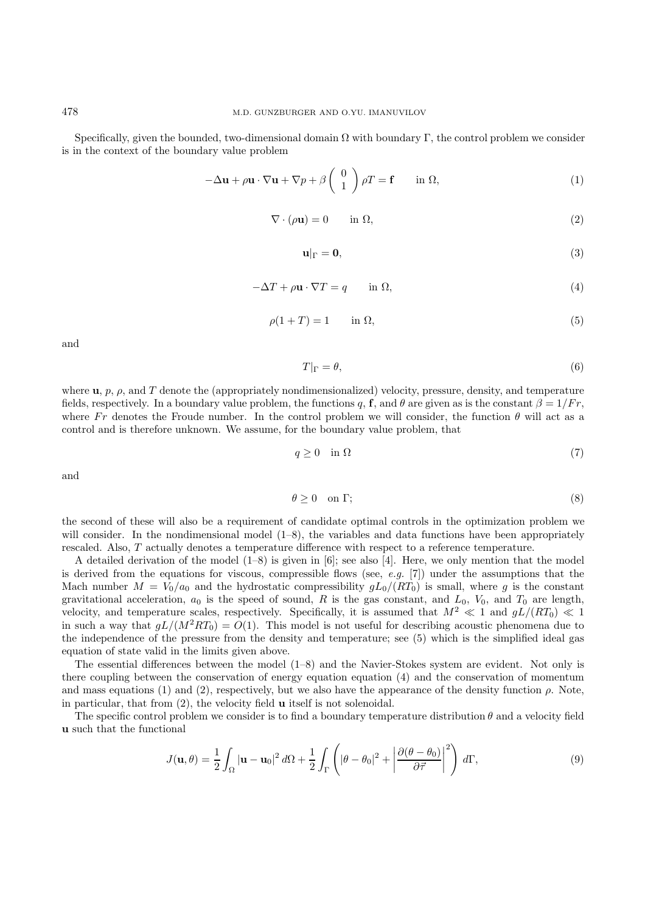Specifically, given the bounded, two-dimensional domain  $\Omega$  with boundary Γ, the control problem we consider is in the context of the boundary value problem

$$
-\Delta \mathbf{u} + \rho \mathbf{u} \cdot \nabla \mathbf{u} + \nabla p + \beta \begin{pmatrix} 0 \\ 1 \end{pmatrix} \rho T = \mathbf{f} \quad \text{in } \Omega,
$$
 (1)

$$
\nabla \cdot (\rho \mathbf{u}) = 0 \qquad \text{in } \Omega,\tag{2}
$$

$$
\mathbf{u}|_{\Gamma} = \mathbf{0},\tag{3}
$$

$$
-\Delta T + \rho \mathbf{u} \cdot \nabla T = q \qquad \text{in } \Omega,
$$
\n<sup>(4)</sup>

$$
\rho(1+T) = 1 \qquad \text{in } \Omega,\tag{5}
$$

and

$$
T|_{\Gamma} = \theta,\tag{6}
$$

where  $\mathbf{u}, p, \rho$ , and T denote the (appropriately nondimensionalized) velocity, pressure, density, and temperature fields, respectively. In a boundary value problem, the functions q, **f**, and  $\theta$  are given as is the constant  $\beta = 1/Fr$ , where Fr denotes the Froude number. In the control problem we will consider, the function  $\theta$  will act as a control and is therefore unknown. We assume, for the boundary value problem, that

$$
q \ge 0 \quad \text{in } \Omega \tag{7}
$$

and

$$
\theta \ge 0 \quad \text{on } \Gamma; \tag{8}
$$

the second of these will also be a requirement of candidate optimal controls in the optimization problem we will consider. In the nondimensional model  $(1–8)$ , the variables and data functions have been appropriately rescaled. Also, T actually denotes a temperature difference with respect to a reference temperature.

A detailed derivation of the model (1–8) is given in [6]; see also [4]. Here, we only mention that the model is derived from the equations for viscous, compressible flows (see, e.g.  $[7]$ ) under the assumptions that the Mach number  $M = V_0/a_0$  and the hydrostatic compressibility  $gL_0/(RT_0)$  is small, where g is the constant gravitational acceleration,  $a_0$  is the speed of sound, R is the gas constant, and  $L_0$ ,  $V_0$ , and  $T_0$  are length, velocity, and temperature scales, respectively. Specifically, it is assumed that  $M^2 \ll 1$  and  $gL/(RT_0) \ll 1$ in such a way that  $gL/(M^2RT_0) = O(1)$ . This model is not useful for describing acoustic phenomena due to the independence of the pressure from the density and temperature; see (5) which is the simplified ideal gas equation of state valid in the limits given above.

The essential differences between the model (1–8) and the Navier-Stokes system are evident. Not only is there coupling between the conservation of energy equation equation (4) and the conservation of momentum and mass equations (1) and (2), respectively, but we also have the appearance of the density function  $\rho$ . Note, in particular, that from (2), the velocity field **u** itself is not solenoidal.

The specific control problem we consider is to find a boundary temperature distribution  $\theta$  and a velocity field **u** such that the functional

$$
J(\mathbf{u}, \theta) = \frac{1}{2} \int_{\Omega} |\mathbf{u} - \mathbf{u}_0|^2 d\Omega + \frac{1}{2} \int_{\Gamma} \left( |\theta - \theta_0|^2 + \left| \frac{\partial (\theta - \theta_0)}{\partial \vec{\tau}} \right|^2 \right) d\Gamma,
$$
\n(9)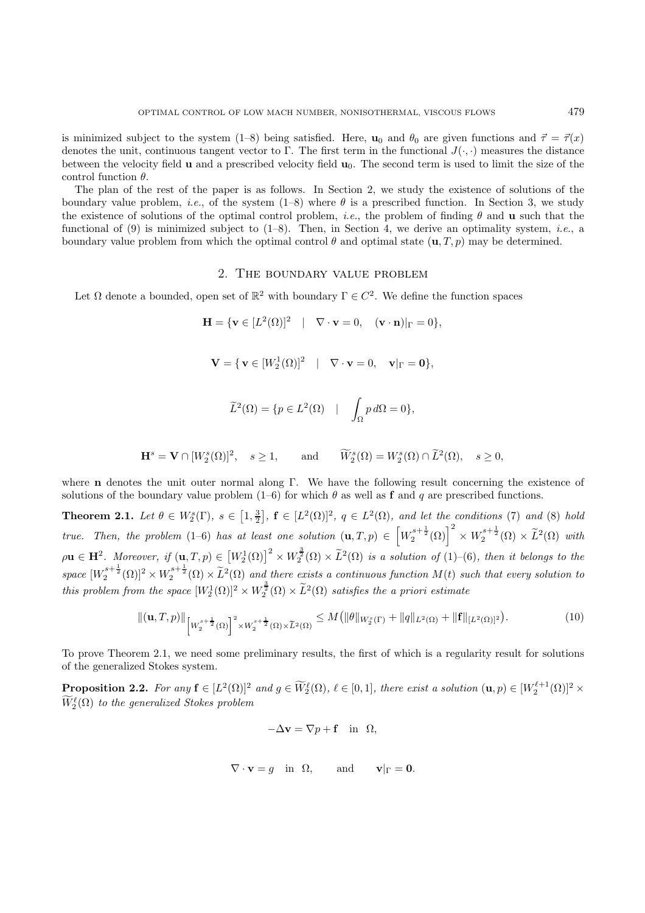is minimized subject to the system (1–8) being satisfied. Here, **u**<sub>0</sub> and  $\theta_0$  are given functions and  $\vec{\tau} = \vec{\tau}(x)$ denotes the unit, continuous tangent vector to Γ. The first term in the functional  $J(\cdot, \cdot)$  measures the distance between the velocity field **u** and a prescribed velocity field **u**0. The second term is used to limit the size of the control function  $\theta$ .

The plan of the rest of the paper is as follows. In Section 2, we study the existence of solutions of the boundary value problem, *i.e.*, of the system  $(1-8)$  where  $\theta$  is a prescribed function. In Section 3, we study the existence of solutions of the optimal control problem, i.e., the problem of finding θ and **u** such that the functional of (9) is minimized subject to  $(1-8)$ . Then, in Section 4, we derive an optimality system, *i.e.*, a boundary value problem from which the optimal control  $\theta$  and optimal state  $(\mathbf{u},T,p)$  may be determined.

### 2. The boundary value problem

Let  $\Omega$  denote a bounded, open set of  $\mathbb{R}^2$  with boundary  $\Gamma \in C^2$ . We define the function spaces

$$
\mathbf{H} = \{ \mathbf{v} \in [L^2(\Omega)]^2 \mid \nabla \cdot \mathbf{v} = 0, \quad (\mathbf{v} \cdot \mathbf{n})|_{\Gamma} = 0 \},
$$

$$
\mathbf{V} = \{ \mathbf{v} \in [W_2^1(\Omega)]^2 \mid \nabla \cdot \mathbf{v} = 0, \quad \mathbf{v}|_{\Gamma} = \mathbf{0} \},
$$

$$
\widetilde{L}^2(\Omega) = \{ p \in L^2(\Omega) \quad | \quad \int_{\Omega} p \, d\Omega = 0 \},
$$

$$
\mathbf{H}^s = \mathbf{V} \cap [W_2^s(\Omega)]^2, \quad s \ge 1, \quad \text{and} \quad \widetilde{W}_2^s(\Omega) = W_2^s(\Omega) \cap \widetilde{L}^2(\Omega), \quad s \ge 0,
$$

where **n** denotes the unit outer normal along Γ. We have the following result concerning the existence of solutions of the boundary value problem  $(1-6)$  for which  $\theta$  as well as **f** and q are prescribed functions.

**Theorem 2.1.** Let  $\theta \in W_2^s(\Gamma)$ ,  $s \in [1, \frac{3}{2}]$ ,  $\mathbf{f} \in [L^2(\Omega)]^2$ ,  $q \in L^2(\Omega)$ , and let the conditions (7) and (8) hold true. Then, the problem (1–6) has at least one solution  $(\mathbf{u},T,p) \in \left[W_2^{s+\frac{1}{2}}(\Omega)\right]^2 \times W_2^{s+\frac{1}{2}}(\Omega) \times \tilde{L}^2(\Omega)$  with  $\rho \mathbf{u} \in \mathbf{H}^2$ . Moreover, if  $(\mathbf{u}, T, p) \in [W_2^1(\Omega)]^2 \times W_2^{\frac{3}{2}}(\Omega) \times \tilde{L}^2(\Omega)$  is a solution of (1)–(6), then it belongs to the  $space \ [W_2^{s+\frac{1}{2}}(\Omega)]^2 \times W_2^{s+\frac{1}{2}}(\Omega) \times \tilde{L}^2(\Omega)$  and there exists a continuous function  $M(t)$  such that every solution to this problem from the space  $[W_2^1(\Omega)]^2 \times W_2^{\frac{3}{2}}(\Omega) \times \tilde{L}^2(\Omega)$  satisfies the a priori estimate

$$
\|(\mathbf{u},T,p)\|_{\left[W_2^{s+\frac{1}{2}}(\Omega)\right]^2 \times W_2^{s+\frac{1}{2}}(\Omega) \times \widetilde{L}^2(\Omega)} \le M \left(\|\theta\|_{W_2^s(\Gamma)} + \|q\|_{L^2(\Omega)} + \|f\|_{[L^2(\Omega)]^2}\right). \tag{10}
$$

To prove Theorem 2.1, we need some preliminary results, the first of which is a regularity result for solutions of the generalized Stokes system.

**Proposition 2.2.** For any  $\mathbf{f} \in [L^2(\Omega)]^2$  and  $g \in \widetilde{W}_2^{\ell}(\Omega)$ ,  $\ell \in [0,1]$ , there exist a solution  $(\mathbf{u}, p) \in [W_2^{\ell+1}(\Omega)]^2 \times$  $\widetilde{W}^{\ell}_2(\Omega)$  to the generalized Stokes problem

$$
-\Delta \mathbf{v} = \nabla p + \mathbf{f} \quad \text{in} \ \ \Omega,
$$

$$
\nabla \cdot \mathbf{v} = g
$$
 in  $\Omega$ , and  $\mathbf{v}|_{\Gamma} = \mathbf{0}$ .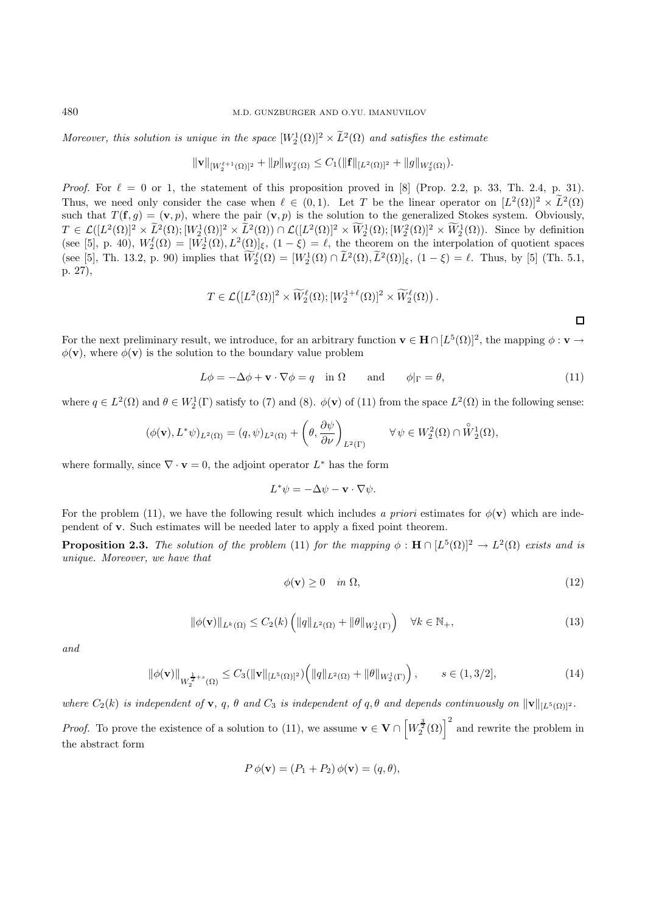Moreover, this solution is unique in the space  $[W_2^1(\Omega)]^2 \times L^2(\Omega)$  and satisfies the estimate

$$
\|\mathbf{v}\|_{[W_2^{\ell+1}(\Omega)]^2} + \|p\|_{W_2^{\ell}(\Omega)} \leq C_1(\|\mathbf{f}\|_{[L^2(\Omega)]^2} + \|g\|_{W_2^{\ell}(\Omega)}).
$$

*Proof.* For  $\ell = 0$  or 1, the statement of this proposition proved in [8] (Prop. 2.2, p. 33, Th. 2.4, p. 31). Thus, we need only consider the case when  $\ell \in (0, 1)$ . Let T be the linear operator on  $[L^2(\Omega)]^2 \times \tilde{L}^2(\Omega)$ such that  $T(\mathbf{f}, g) = (\mathbf{v}, p)$ , where the pair  $(\mathbf{v}, p)$  is the solution to the generalized Stokes system. Obviously,  $T \in \mathcal{L}([L^2(\Omega)]^2 \times \tilde{L}^2(\Omega); [W_2^1(\Omega)]^2 \times \tilde{L}^2(\Omega)) \cap \mathcal{L}([L^2(\Omega)]^2 \times \tilde{W}_2^1(\Omega); [W_2^2(\Omega)]^2 \times \tilde{W}_2^1(\Omega)$ . Since by definition (see [5], p. 40),  $W_2^{\ell}(\Omega) = [W_2^1(\Omega), L^2(\Omega)]_{\xi}$ ,  $(1 - \xi) = \ell$ , the theorem on the interpolation of quotient spaces (see [5], Th. 13.2, p. 90) implies that  $W_2^{\ell}(\Omega) = [W_2^1(\Omega) \cap \tilde{L}^2(\Omega), \tilde{L}^2(\Omega)]_{\xi}$ ,  $(1 - \xi) = \ell$ . Thus, by [5] (Th. 5.1, p. 27),

$$
T \in \mathcal{L}([L^2(\Omega)]^2 \times \widetilde{W}_2^{\ell}(\Omega); [W_2^{1+\ell}(\Omega)]^2 \times \widetilde{W}_2^{\ell}(\Omega)).
$$

For the next preliminary result, we introduce, for an arbitrary function  $\mathbf{v} \in \mathbf{H} \cap [L^5(\Omega)]^2$ , the mapping  $\phi : \mathbf{v} \to \mathbf{v}$  $\phi(\mathbf{v})$ , where  $\phi(\mathbf{v})$  is the solution to the boundary value problem

$$
L\phi = -\Delta\phi + \mathbf{v} \cdot \nabla\phi = q \quad \text{in } \Omega \qquad \text{and} \qquad \phi|_{\Gamma} = \theta,\tag{11}
$$

 $\Box$ 

where  $q \in L^2(\Omega)$  and  $\theta \in W_2^1(\Gamma)$  satisfy to (7) and (8).  $\phi(\mathbf{v})$  of (11) from the space  $L^2(\Omega)$  in the following sense:

$$
(\phi(\mathbf{v}), L^*\psi)_{L^2(\Omega)} = (q, \psi)_{L^2(\Omega)} + \left(\theta, \frac{\partial \psi}{\partial \nu}\right)_{L^2(\Gamma)} \qquad \forall \psi \in W_2^2(\Omega) \cap \overset{\circ}{W}_2^1(\Omega),
$$

where formally, since  $\nabla \cdot \mathbf{v} = 0$ , the adjoint operator  $L^*$  has the form

$$
L^*\psi = -\Delta\psi - \mathbf{v} \cdot \nabla\psi.
$$

For the problem (11), we have the following result which includes a priori estimates for  $\phi(\mathbf{v})$  which are independent of **v**. Such estimates will be needed later to apply a fixed point theorem.

**Proposition 2.3.** The solution of the problem (11) for the mapping  $\phi : \mathbf{H} \cap [L^5(\Omega)]^2 \to L^2(\Omega)$  exists and is unique. Moreover, we have that

$$
\phi(\mathbf{v}) \ge 0 \quad in \ \Omega,\tag{12}
$$

$$
\|\phi(\mathbf{v})\|_{L^k(\Omega)} \le C_2(k) \left( \|q\|_{L^2(\Omega)} + \|\theta\|_{W_2^1(\Gamma)} \right) \quad \forall k \in \mathbb{N}_+, \tag{13}
$$

and

$$
\|\phi(\mathbf{v})\|_{W_2^{\frac{1}{2}+s}(\Omega)} \le C_3(\|\mathbf{v}\|_{[L^5(\Omega)]^2})\Big(\|q\|_{L^2(\Omega)} + \|\theta\|_{W_2^1(\Gamma)}\Big), \qquad s \in (1,3/2],\tag{14}
$$

where  $C_2(k)$  is independent of **v**, q,  $\theta$  and  $C_3$  is independent of q,  $\theta$  and depends continuously on  $\|\mathbf{v}\|_{[L^5(\Omega)]^2}$ .

*Proof.* To prove the existence of a solution to (11), we assume  $\mathbf{v} \in \mathbf{V} \cap \left[W_2^{\frac{3}{2}}(\Omega)\right]^2$  and rewrite the problem in the abstract form

$$
P \phi(\mathbf{v}) = (P_1 + P_2) \phi(\mathbf{v}) = (q, \theta),
$$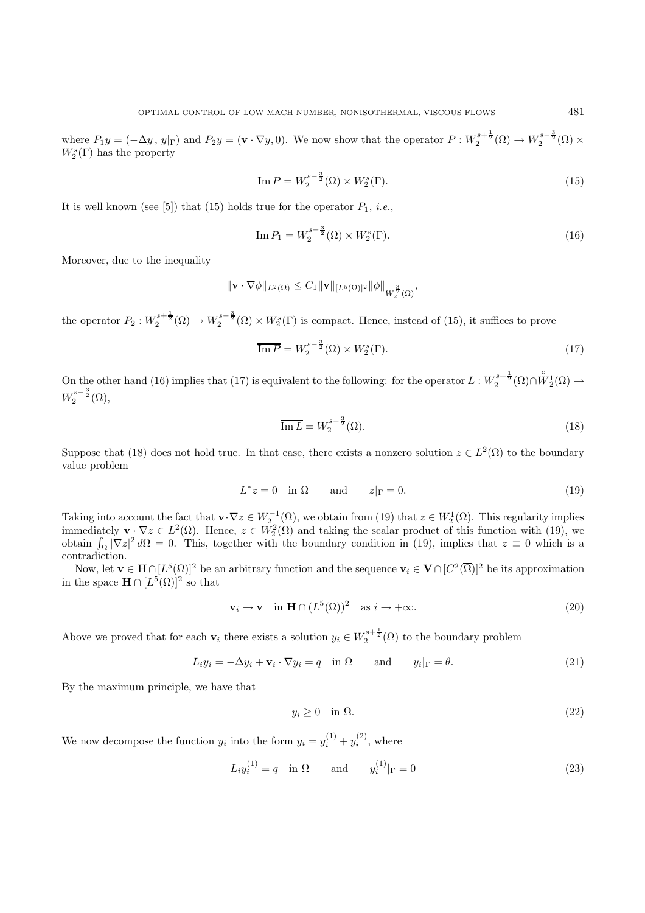where  $P_1y = (-\Delta y, y|_{\Gamma})$  and  $P_2y = (\mathbf{v} \cdot \nabla y, 0)$ . We now show that the operator  $P: W_2^{s+\frac{1}{2}}(\Omega) \to W_2^{s-\frac{3}{2}}(\Omega) \times$  $W^s_2(\Gamma)$  has the property

Im 
$$
P = W_2^{s-\frac{3}{2}}(\Omega) \times W_2^s(\Gamma).
$$
 (15)

It is well known (see [5]) that (15) holds true for the operator  $P_1$ , *i.e.*,

Im 
$$
P_1 = W_2^{s - \frac{3}{2}}(\Omega) \times W_2^s(\Gamma)
$$
. (16)

Moreover, due to the inequality

$$
\|\mathbf{v}\cdot\nabla\phi\|_{L^2(\Omega)}\leq C_1\|\mathbf{v}\|_{[L^5(\Omega)]^2}\|\phi\|_{W_2^{\frac{3}{2}}(\Omega)},
$$

the operator  $P_2: W_2^{s+\frac{1}{2}}(\Omega) \to W_2^{s-\frac{3}{2}}(\Omega) \times W_2^{s}(\Gamma)$  is compact. Hence, instead of (15), it suffices to prove

$$
\overline{\operatorname{Im} P} = W_2^{s - \frac{3}{2}}(\Omega) \times W_2^s(\Gamma). \tag{17}
$$

On the other hand (16) implies that (17) is equivalent to the following: for the operator  $L: W_2^{s+\frac{1}{2}}(\Omega) \cap \overset{\circ}{W}_2^1(\Omega) \to$  $W_2^{s-\frac{3}{2}}(\Omega),$ 

$$
\overline{\mathrm{Im}\,L} = W_2^{s-\frac{3}{2}}(\Omega). \tag{18}
$$

Suppose that (18) does not hold true. In that case, there exists a nonzero solution  $z \in L^2(\Omega)$  to the boundary value problem

$$
L^*z = 0 \quad \text{in } \Omega \qquad \text{and} \qquad z|_{\Gamma} = 0. \tag{19}
$$

Taking into account the fact that  $\mathbf{v} \cdot \nabla z \in W_2^{-1}(\Omega)$ , we obtain from (19) that  $z \in W_2^1(\Omega)$ . This regularity implies immediately  $\mathbf{v} \cdot \nabla z \in L^2(\Omega)$ . Hence,  $z \in W_2^2(\Omega)$  and taking the scalar product of this function with (19), we obtain  $\int_{\Omega} |\nabla z|^2 d\Omega = 0$ . This, together with the boundary condition in (19), implies that  $z \equiv 0$  which is a contradiction.

Now, let  $\mathbf{v} \in \mathbf{H} \cap [L^5(\Omega)]^2$  be an arbitrary function and the sequence  $\mathbf{v}_i \in \mathbf{V} \cap [C^2(\overline{\Omega})]^2$  be its approximation in the space  $\mathbf{H} \cap [L^5(\Omega)]^2$  so that

$$
\mathbf{v}_i \to \mathbf{v} \quad \text{in } \mathbf{H} \cap (L^5(\Omega))^2 \quad \text{as } i \to +\infty. \tag{20}
$$

Above we proved that for each  $\mathbf{v}_i$  there exists a solution  $y_i \in W_2^{s+\frac{1}{2}}(\Omega)$  to the boundary problem

$$
L_i y_i = -\Delta y_i + \mathbf{v}_i \cdot \nabla y_i = q \quad \text{in } \Omega \qquad \text{and} \qquad y_i|_{\Gamma} = \theta. \tag{21}
$$

By the maximum principle, we have that

$$
y_i \ge 0 \quad \text{in } \Omega. \tag{22}
$$

We now decompose the function  $y_i$  into the form  $y_i = y_i^{(1)} + y_i^{(2)}$ , where

$$
L_i y_i^{(1)} = q \text{ in } \Omega \quad \text{and} \quad y_i^{(1)}|_{\Gamma} = 0
$$
 (23)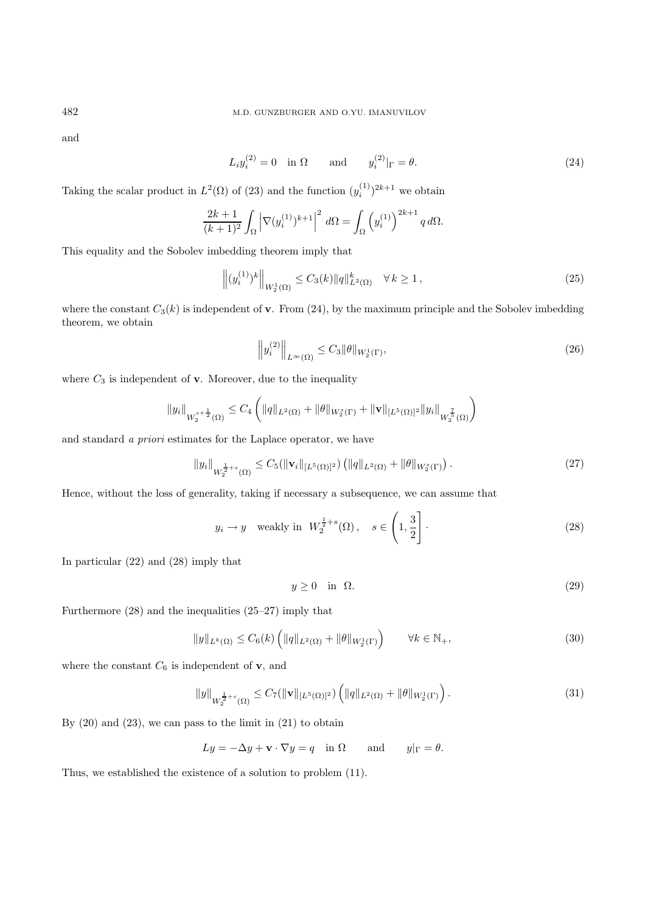and

$$
L_i y_i^{(2)} = 0 \quad \text{in } \Omega \qquad \text{and} \qquad y_i^{(2)}|_{\Gamma} = \theta. \tag{24}
$$

Taking the scalar product in  $L^2(\Omega)$  of (23) and the function  $(y_i^{(1)})^{2k+1}$  we obtain

$$
\frac{2k+1}{(k+1)^2} \int_{\Omega} \left| \nabla (y_i^{(1)})^{k+1} \right|^2 d\Omega = \int_{\Omega} \left( y_i^{(1)} \right)^{2k+1} q d\Omega.
$$

This equality and the Sobolev imbedding theorem imply that

$$
\left\| (y_i^{(1)})^k \right\|_{W_2^1(\Omega)} \le C_3(k) \|q\|_{L^2(\Omega)}^k \quad \forall \, k \ge 1,
$$
\n(25)

where the constant  $C_3(k)$  is independent of **v**. From (24), by the maximum principle and the Sobolev imbedding theorem, we obtain

$$
\left\| y_i^{(2)} \right\|_{L^\infty(\Omega)} \le C_3 \|\theta\|_{W_2^1(\Gamma)},\tag{26}
$$

where  $C_3$  is independent of **v**. Moreover, due to the inequality

$$
||y_i||_{W_2^{s+\frac{1}{2}}(\Omega)} \leq C_4 \left(||q||_{L^2(\Omega)} + ||\theta||_{W_2^s(\Gamma)} + ||\mathbf{v}||_{[L^5(\Omega)]^2} ||y_i||_{W_2^{\frac{7}{5}}(\Omega)} \right)
$$

and standard a priori estimates for the Laplace operator, we have

$$
||y_i||_{W_2^{\frac{1}{2}+s}(\Omega)} \leq C_5(||\mathbf{v}_i||_{[L^5(\Omega)]^2}) \left( ||q||_{L^2(\Omega)} + ||\theta||_{W_2^s(\Gamma)} \right). \tag{27}
$$

Hence, without the loss of generality, taking if necessary a subsequence, we can assume that

$$
y_i \to y
$$
 weakly in  $W_2^{\frac{1}{2}+s}(\Omega)$ ,  $s \in \left(1, \frac{3}{2}\right]$ . (28)

In particular (22) and (28) imply that

$$
y \ge 0 \quad \text{in} \quad \Omega. \tag{29}
$$

Furthermore (28) and the inequalities (25–27) imply that

$$
||y||_{L^{k}(\Omega)} \leq C_{6}(k) \left( ||q||_{L^{2}(\Omega)} + ||\theta||_{W_{2}^{1}(\Gamma)} \right) \qquad \forall k \in \mathbb{N}_{+},
$$
\n(30)

where the constant  $C_6$  is independent of **v**, and

$$
||y||_{W_2^{\frac{1}{2}+s}(\Omega)} \le C_7(||\mathbf{v}||_{[L^5(\Omega)]^2}) \left(||q||_{L^2(\Omega)} + ||\theta||_{W_2^1(\Gamma)}\right).
$$
\n(31)

By  $(20)$  and  $(23)$ , we can pass to the limit in  $(21)$  to obtain

$$
Ly = -\Delta y + \mathbf{v} \cdot \nabla y = q \quad \text{in } \Omega \qquad \text{and} \qquad y|_{\Gamma} = \theta.
$$

Thus, we established the existence of a solution to problem (11).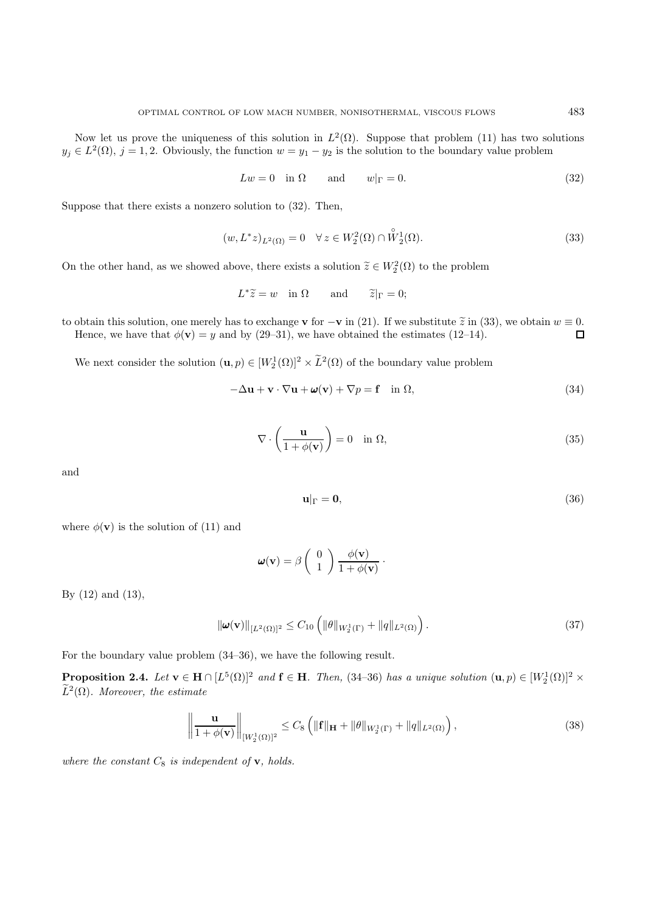Now let us prove the uniqueness of this solution in  $L^2(\Omega)$ . Suppose that problem (11) has two solutions  $y_j \in L^2(\Omega)$ ,  $j = 1, 2$ . Obviously, the function  $w = y_1 - y_2$  is the solution to the boundary value problem

$$
Lw = 0 \quad \text{in } \Omega \qquad \text{and} \qquad w|_{\Gamma} = 0. \tag{32}
$$

Suppose that there exists a nonzero solution to (32). Then,

$$
(w, L^*z)_{L^2(\Omega)} = 0 \quad \forall z \in W_2^2(\Omega) \cap \overset{\circ}{W}_2^1(\Omega). \tag{33}
$$

On the other hand, as we showed above, there exists a solution  $\tilde{z} \in W_2^2(\Omega)$  to the problem

$$
L^*\tilde{z} = w
$$
 in  $\Omega$  and  $\tilde{z}|_{\Gamma} = 0;$ 

to obtain this solution, one merely has to exchange **v** for  $-\mathbf{v}$  in (21). If we substitute  $\tilde{z}$  in (33), we obtain  $w \equiv 0$ .<br>Hence, we have that  $\phi(\mathbf{v}) = y$  and by (29–31), we have obtained the estimates (12–14). Hence, we have that  $\phi(\mathbf{v}) = y$  and by (29–31), we have obtained the estimates (12–14).

We next consider the solution  $(\mathbf{u}, p) \in [W_2^1(\Omega)]^2 \times \tilde{L}^2(\Omega)$  of the boundary value problem

$$
-\Delta \mathbf{u} + \mathbf{v} \cdot \nabla \mathbf{u} + \boldsymbol{\omega}(\mathbf{v}) + \nabla p = \mathbf{f} \quad \text{in } \Omega,
$$
\n(34)

$$
\nabla \cdot \left(\frac{\mathbf{u}}{1 + \phi(\mathbf{v})}\right) = 0 \quad \text{in } \Omega,
$$
\n(35)

and

$$
\mathbf{u}|_{\Gamma} = \mathbf{0},\tag{36}
$$

where  $\phi(\mathbf{v})$  is the solution of (11) and

$$
\boldsymbol{\omega}(\mathbf{v}) = \beta \left( \begin{array}{c} 0 \\ 1 \end{array} \right) \frac{\phi(\mathbf{v})}{1 + \phi(\mathbf{v})}.
$$

By (12) and (13),

$$
\|\boldsymbol{\omega}(\mathbf{v})\|_{[L^{2}(\Omega)]^{2}} \leq C_{10} \left( \|\theta\|_{W_{2}^{1}(\Gamma)} + \|q\|_{L^{2}(\Omega)} \right). \tag{37}
$$

For the boundary value problem (34–36), we have the following result.

**Proposition 2.4.** Let  $\mathbf{v} \in \mathbf{H} \cap [L^5(\Omega)]^2$  and  $\mathbf{f} \in \mathbf{H}$ . Then, (34–36) has a unique solution  $(\mathbf{u}, p) \in [W_2^1(\Omega)]^2 \times$  $\widetilde{L}^2(\Omega)$ . Moreover, the estimate

$$
\left\| \frac{\mathbf{u}}{1 + \phi(\mathbf{v})} \right\|_{[W_2^1(\Omega)]^2} \leq C_8 \left( \|\mathbf{f}\|_{\mathbf{H}} + \|\theta\|_{W_2^1(\Gamma)} + \|q\|_{L^2(\Omega)} \right),\tag{38}
$$

where the constant  $C_8$  is independent of **v**, holds.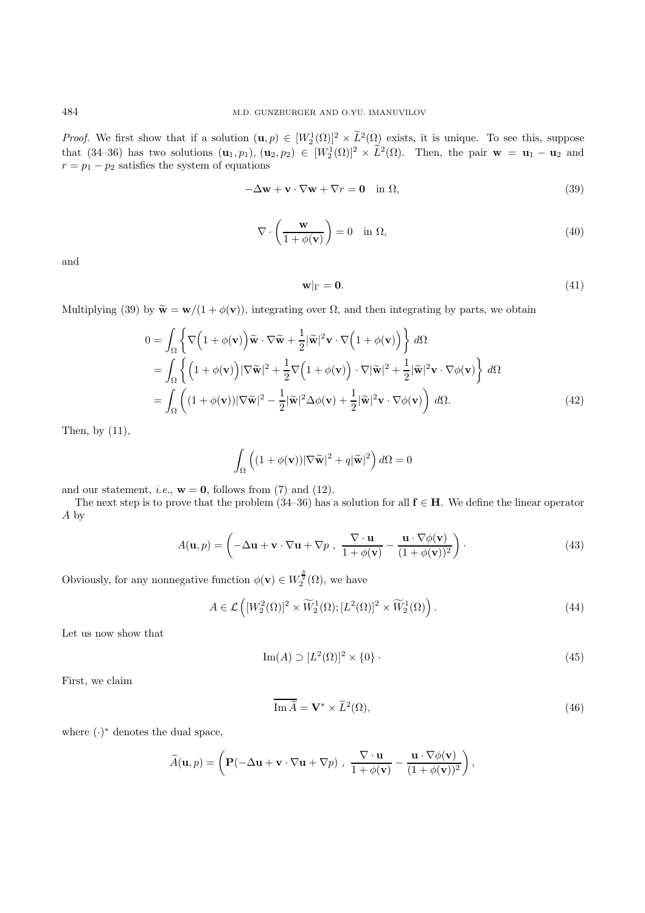*Proof.* We first show that if a solution  $(\mathbf{u}, p) \in [W_2^1(\Omega)]^2 \times L^2(\Omega)$  exists, it is unique. To see this, suppose that (34–36) has two solutions  $(\mathbf{u}_1, p_1), (\mathbf{u}_2, p_2) \in [W_2^1(\Omega)]^2 \times \tilde{L}^2(\Omega)$ . Then, the pair  $\mathbf{w} = \mathbf{u}_1 - \mathbf{u}_2$  and  $r = p_1 - p_2$  satisfies the system of equations

$$
-\Delta \mathbf{w} + \mathbf{v} \cdot \nabla \mathbf{w} + \nabla r = \mathbf{0} \quad \text{in } \Omega,
$$
\n(39)

$$
\nabla \cdot \left(\frac{\mathbf{w}}{1 + \phi(\mathbf{v})}\right) = 0 \quad \text{in } \Omega,
$$
\n(40)

and

$$
\mathbf{w}|_{\Gamma} = \mathbf{0}.\tag{41}
$$

Multiplying (39) by  $\widetilde{\mathbf{w}} = \mathbf{w}/(1 + \phi(\mathbf{v}))$ , integrating over  $\Omega$ , and then integrating by parts, we obtain

$$
0 = \int_{\Omega} \left\{ \nabla \left( 1 + \phi(\mathbf{v}) \right) \tilde{\mathbf{w}} \cdot \nabla \tilde{\mathbf{w}} + \frac{1}{2} |\tilde{\mathbf{w}}|^2 \mathbf{v} \cdot \nabla \left( 1 + \phi(\mathbf{v}) \right) \right\} d\Omega
$$
  
\n
$$
= \int_{\Omega} \left\{ \left( 1 + \phi(\mathbf{v}) \right) |\nabla \tilde{\mathbf{w}}|^2 + \frac{1}{2} \nabla \left( 1 + \phi(\mathbf{v}) \right) \cdot \nabla |\tilde{\mathbf{w}}|^2 + \frac{1}{2} |\tilde{\mathbf{w}}|^2 \mathbf{v} \cdot \nabla \phi(\mathbf{v}) \right\} d\Omega
$$
  
\n
$$
= \int_{\Omega} \left( (1 + \phi(\mathbf{v})) |\nabla \tilde{\mathbf{w}}|^2 - \frac{1}{2} |\tilde{\mathbf{w}}|^2 \Delta \phi(\mathbf{v}) + \frac{1}{2} |\tilde{\mathbf{w}}|^2 \mathbf{v} \cdot \nabla \phi(\mathbf{v}) \right) d\Omega.
$$
 (42)

Then, by  $(11)$ ,

$$
\int_{\Omega} \left( (1 + \phi(\mathbf{v})) |\nabla \widetilde{\mathbf{w}}|^2 + q |\widetilde{\mathbf{w}}|^2 \right) d\Omega = 0
$$

and our statement, *i.e.*,  $\mathbf{w} = \mathbf{0}$ , follows from (7) and (12).

The next step is to prove that the problem (34–36) has a solution for all **f** ∈ **H**. We define the linear operator A by

$$
A(\mathbf{u}, p) = \left(-\Delta \mathbf{u} + \mathbf{v} \cdot \nabla \mathbf{u} + \nabla p, \ \frac{\nabla \cdot \mathbf{u}}{1 + \phi(\mathbf{v})} - \frac{\mathbf{u} \cdot \nabla \phi(\mathbf{v})}{(1 + \phi(\mathbf{v}))^2}\right).
$$
(43)

Obviously, for any nonnegative function  $\phi(\mathbf{v}) \in W_2^{\frac{3}{2}}(\Omega)$ , we have

$$
A \in \mathcal{L}\left( [W_2^2(\Omega)]^2 \times \widetilde{W}_2^1(\Omega); [L^2(\Omega)]^2 \times \widetilde{W}_2^1(\Omega) \right). \tag{44}
$$

Let us now show that

$$
\operatorname{Im}(A) \supset [L^2(\Omega)]^2 \times \{0\} \tag{45}
$$

First, we claim

$$
\overline{\operatorname{Im}\widetilde{A}} = \mathbf{V}^* \times \widetilde{L}^2(\Omega),\tag{46}
$$

where  $(·)^*$  denotes the dual space,

$$
\widetilde{A}(\mathbf{u},p) = \left(\mathbf{P}(-\Delta \mathbf{u} + \mathbf{v} \cdot \nabla \mathbf{u} + \nabla p) , \frac{\nabla \cdot \mathbf{u}}{1 + \phi(\mathbf{v})} - \frac{\mathbf{u} \cdot \nabla \phi(\mathbf{v})}{(1 + \phi(\mathbf{v}))^2}\right),
$$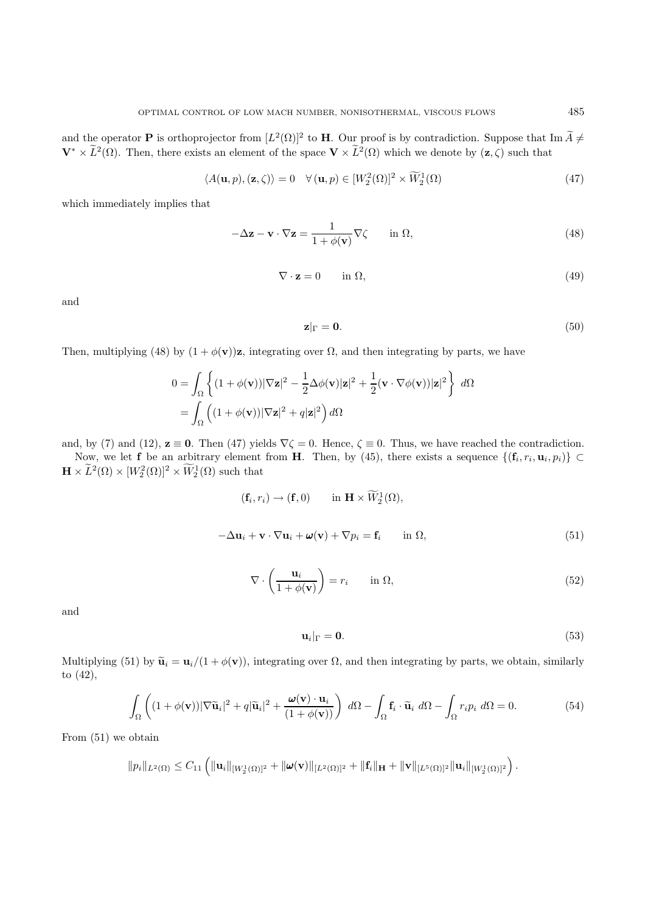and the operator **P** is orthoprojector from  $[L^2(\Omega)]^2$  to **H**. Our proof is by contradiction. Suppose that Im  $\widetilde{A} \neq$  $V^* \times \tilde{L}^2(\Omega)$ . Then, there exists an element of the space  $V \times \tilde{L}^2(\Omega)$  which we denote by  $(z, \zeta)$  such that

$$
\langle A(\mathbf{u}, p), (\mathbf{z}, \zeta) \rangle = 0 \quad \forall (\mathbf{u}, p) \in [W_2^2(\Omega)]^2 \times \widetilde{W}_2^1(\Omega) \tag{47}
$$

which immediately implies that

$$
-\Delta z - \mathbf{v} \cdot \nabla z = \frac{1}{1 + \phi(\mathbf{v})} \nabla \zeta \quad \text{in } \Omega,
$$
\n(48)

$$
\nabla \cdot \mathbf{z} = 0 \qquad \text{in } \Omega,\tag{49}
$$

and

$$
\mathbf{z}|_{\Gamma} = \mathbf{0}.\tag{50}
$$

Then, multiplying (48) by  $(1 + \phi(\mathbf{v}))\mathbf{z}$ , integrating over  $\Omega$ , and then integrating by parts, we have

$$
0 = \int_{\Omega} \left\{ (1 + \phi(\mathbf{v})) |\nabla \mathbf{z}|^2 - \frac{1}{2} \Delta \phi(\mathbf{v}) |\mathbf{z}|^2 + \frac{1}{2} (\mathbf{v} \cdot \nabla \phi(\mathbf{v})) |\mathbf{z}|^2 \right\} d\Omega
$$
  
= 
$$
\int_{\Omega} \left( (1 + \phi(\mathbf{v})) |\nabla \mathbf{z}|^2 + q |\mathbf{z}|^2 \right) d\Omega
$$

and, by (7) and (12),  $z \equiv 0$ . Then (47) yields  $\nabla \zeta = 0$ . Hence,  $\zeta \equiv 0$ . Thus, we have reached the contradiction. Now, we let **f** be an arbitrary element from **H**. Then, by (45), there exists a sequence  $\{(\mathbf{f}_i, r_i, \mathbf{u}_i, p_i)\}\subset$ 

 $\mathbf{H} \times \tilde{L}^2(\Omega) \times [W_2^2(\Omega)]^2 \times W_2^1(\Omega)$  such that

$$
(\mathbf{f}_i, r_i) \to (\mathbf{f}, 0) \quad \text{in } \mathbf{H} \times W_2^1(\Omega),
$$
  

$$
-\Delta \mathbf{u}_i + \mathbf{v} \cdot \nabla \mathbf{u}_i + \boldsymbol{\omega}(\mathbf{v}) + \nabla p_i = \mathbf{f}_i \quad \text{in } \Omega,
$$
 (51)

$$
\nabla \cdot \left(\frac{\mathbf{u}_i}{1 + \phi(\mathbf{v})}\right) = r_i \qquad \text{in } \Omega,
$$
\n(52)

and

$$
\mathbf{u}_i|_{\Gamma} = \mathbf{0}.\tag{53}
$$

Multiplying (51) by  $\tilde{\mathbf{u}}_i = \mathbf{u}_i/(1 + \phi(\mathbf{v}))$ , integrating over  $\Omega$ , and then integrating by parts, we obtain, similarly to (42),

$$
\int_{\Omega} \left( (1 + \phi(\mathbf{v})) |\nabla \widetilde{\mathbf{u}}_i|^2 + q |\widetilde{\mathbf{u}}_i|^2 + \frac{\boldsymbol{\omega}(\mathbf{v}) \cdot \mathbf{u}_i}{(1 + \phi(\mathbf{v}))} \right) d\Omega - \int_{\Omega} \mathbf{f}_i \cdot \widetilde{\mathbf{u}}_i d\Omega - \int_{\Omega} r_i p_i d\Omega = 0.
$$
 (54)

From (51) we obtain

$$
\|p_i\|_{L^2(\Omega)} \leq C_{11}\left(\|\mathbf{u}_i\|_{[W_2^1(\Omega)]^2} + \|\boldsymbol{\omega}(\mathbf{v})\|_{[L^2(\Omega)]^2} + \|\mathbf{f}_i\|_{\mathbf{H}} + \|\mathbf{v}\|_{[L^5(\Omega)]^2}\|\mathbf{u}_i\|_{[W_2^1(\Omega)]^2}\right).
$$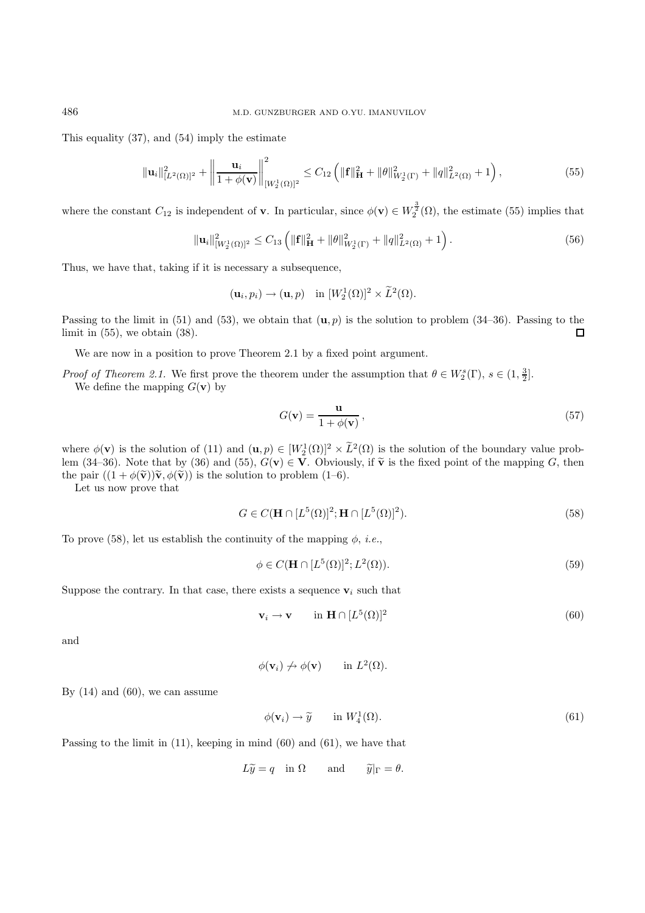This equality (37), and (54) imply the estimate

$$
\|\mathbf{u}_{i}\|_{[L^{2}(\Omega)]^{2}}^{2} + \left\|\frac{\mathbf{u}_{i}}{1 + \phi(\mathbf{v})}\right\|_{[W_{2}^{1}(\Omega)]^{2}}^{2} \leq C_{12} \left(\|\mathbf{f}\|_{\mathbf{H}}^{2} + \|\theta\|_{W_{2}^{1}(\Gamma)}^{2} + \|q\|_{L^{2}(\Omega)}^{2} + 1\right),\tag{55}
$$

where the constant  $C_{12}$  is independent of **v**. In particular, since  $\phi(\mathbf{v}) \in W_2^{\frac{3}{2}}(\Omega)$ , the estimate (55) implies that

$$
\|\mathbf{u}_{i}\|_{[W_{2}^{1}(\Omega)]^{2}}^{2} \leq C_{13} \left( \|\mathbf{f}\|_{\mathbf{H}}^{2} + \|\theta\|_{W_{2}^{1}(\Gamma)}^{2} + \|q\|_{L^{2}(\Omega)}^{2} + 1 \right). \tag{56}
$$

Thus, we have that, taking if it is necessary a subsequence,

$$
(\mathbf{u}_i, p_i) \rightarrow (\mathbf{u}, p)
$$
 in  $[W_2^1(\Omega)]^2 \times \tilde{L}^2(\Omega)$ .

Passing to the limit in  $(51)$  and  $(53)$ , we obtain that  $(\mathbf{u}, p)$  is the solution to problem  $(34-36)$ . Passing to the limit in  $(55)$ , we obtain  $(38)$ .  $\Box$ 

We are now in a position to prove Theorem 2.1 by a fixed point argument.

*Proof of Theorem 2.1.* We first prove the theorem under the assumption that  $\theta \in W_2^s(\Gamma)$ ,  $s \in (1, \frac{3}{2}]$ . We define the mapping  $G(\mathbf{v})$  by

$$
G(\mathbf{v}) = \frac{\mathbf{u}}{1 + \phi(\mathbf{v})},\tag{57}
$$

where  $\phi(\mathbf{v})$  is the solution of (11) and  $(\mathbf{u}, p) \in [W_2^1(\Omega)]^2 \times \tilde{L}^2(\Omega)$  is the solution of the boundary value problem (34–36). Note that by (36) and (55),  $G(\mathbf{v}) \in \mathbf{V}$ . Obviously, if  $\tilde{\mathbf{v}}$  is the fixed point of the mapping G, then the pair  $((1 + \phi(\tilde{\mathbf{v}}))\tilde{\mathbf{v}}, \phi(\tilde{\mathbf{v}}))$  is the solution to problem (1–6).

Let us now prove that

$$
G \in C(\mathbf{H} \cap [L^5(\Omega)]^2; \mathbf{H} \cap [L^5(\Omega)]^2). \tag{58}
$$

To prove (58), let us establish the continuity of the mapping  $\phi$ , *i.e.*,

$$
\phi \in C(\mathbf{H} \cap [L^5(\Omega)]^2; L^2(\Omega)).\tag{59}
$$

Suppose the contrary. In that case, there exists a sequence  $v_i$  such that

$$
\mathbf{v}_i \to \mathbf{v} \qquad \text{in } \mathbf{H} \cap [L^5(\Omega)]^2 \tag{60}
$$

and

$$
\phi(\mathbf{v}_i) \not \to \phi(\mathbf{v}) \quad \text{in } L^2(\Omega).
$$

By  $(14)$  and  $(60)$ , we can assume

$$
\phi(\mathbf{v}_i) \to \widetilde{y} \quad \text{in } W_4^1(\Omega). \tag{61}
$$

Passing to the limit in (11), keeping in mind (60) and (61), we have that

$$
L\widetilde{y} = q
$$
 in  $\Omega$  and  $\widetilde{y}|_{\Gamma} = \theta$ .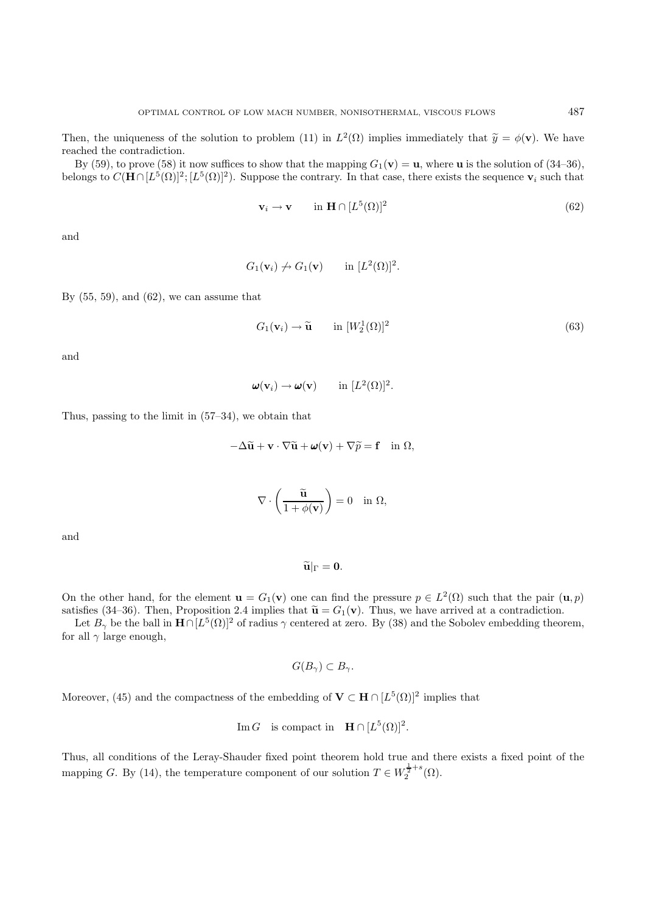Then, the uniqueness of the solution to problem (11) in  $L^2(\Omega)$  implies immediately that  $\tilde{y} = \phi(\mathbf{v})$ . We have reached the contradiction.

By (59), to prove (58) it now suffices to show that the mapping  $G_1(\mathbf{v}) = \mathbf{u}$ , where  $\mathbf{u}$  is the solution of (34–36), belongs to  $C(\mathbf{H} \cap [L^5(\Omega)]^2; [L^5(\Omega)]^2)$ . Suppose the contrary. In that case, there exists the sequence **v**<sub>i</sub> such that

$$
\mathbf{v}_i \to \mathbf{v} \qquad \text{in } \mathbf{H} \cap [L^5(\Omega)]^2 \tag{62}
$$

and

$$
G_1(\mathbf{v}_i) \nrightarrow G_1(\mathbf{v}) \quad \text{in } [L^2(\Omega)]^2.
$$

By  $(55, 59)$ , and  $(62)$ , we can assume that

$$
G_1(\mathbf{v}_i) \to \widetilde{\mathbf{u}} \qquad \text{in } [W_2^1(\Omega)]^2 \tag{63}
$$

and

$$
\boldsymbol{\omega}(\mathbf{v}_i) \to \boldsymbol{\omega}(\mathbf{v}) \qquad \text{in } [L^2(\Omega)]^2.
$$

Thus, passing to the limit in (57–34), we obtain that

$$
-\Delta \widetilde{\mathbf{u}} + \mathbf{v} \cdot \nabla \widetilde{\mathbf{u}} + \boldsymbol{\omega}(\mathbf{v}) + \nabla \widetilde{p} = \mathbf{f} \quad \text{in } \Omega,
$$

$$
\nabla \cdot \left(\frac{\widetilde{\mathbf{u}}}{1 + \phi(\mathbf{v})}\right) = 0 \quad \text{in } \Omega,
$$

and

# $\widetilde{\mathbf{u}}|_{\Gamma} = \mathbf{0}.$

On the other hand, for the element  $\mathbf{u} = G_1(\mathbf{v})$  one can find the pressure  $p \in L^2(\Omega)$  such that the pair  $(\mathbf{u}, p)$ satisfies (34–36). Then, Proposition 2.4 implies that  $\tilde{\mathbf{u}} = G_1(\mathbf{v})$ . Thus, we have arrived at a contradiction.

Let  $B_\gamma$  be the ball in  $\mathbf{H} \cap [L^5(\Omega)]^2$  of radius  $\gamma$  centered at zero. By (38) and the Sobolev embedding theorem, for all  $\gamma$  large enough,

$$
G(B_{\gamma}) \subset B_{\gamma}.
$$

Moreover, (45) and the compactness of the embedding of **V**  $\subset$  **H** ∩  $[L^5(\Omega)]^2$  implies that

Im G is compact in 
$$
\mathbf{H} \cap [L^5(\Omega)]^2
$$
.

Thus, all conditions of the Leray-Shauder fixed point theorem hold true and there exists a fixed point of the mapping G. By (14), the temperature component of our solution  $T \in W_2^{\frac{1}{2}+s}(\Omega)$ .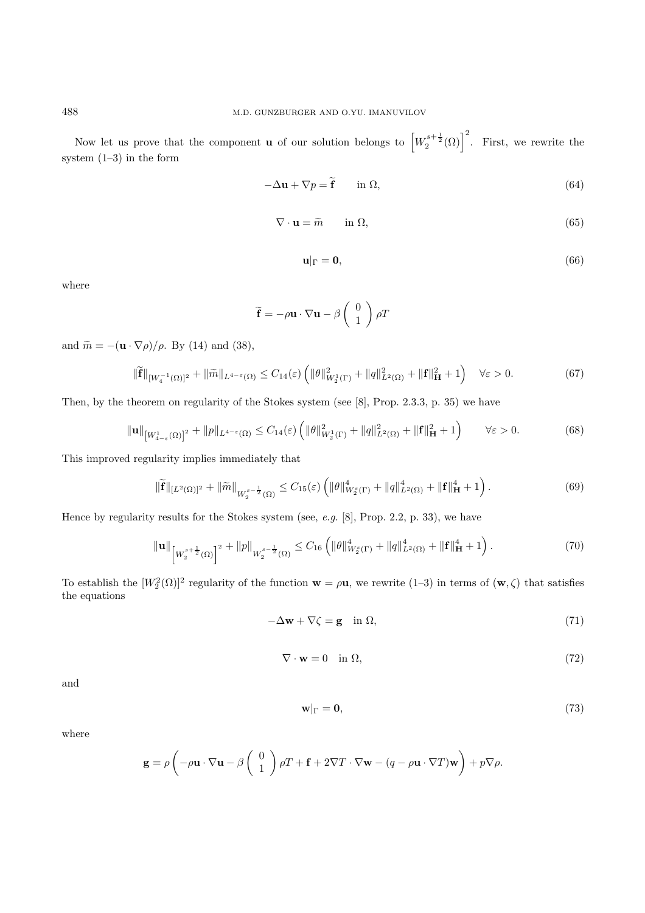Now let us prove that the component **u** of our solution belongs to  $\left[W_2^{s+\frac{1}{2}}(\Omega)\right]^2$ . First, we rewrite the system (1–3) in the form

$$
-\Delta \mathbf{u} + \nabla p = \tilde{\mathbf{f}} \qquad \text{in } \Omega,
$$
\n(64)

$$
\nabla \cdot \mathbf{u} = \tilde{m} \qquad \text{in } \Omega,
$$
\n(65)

$$
\mathbf{u}|_{\Gamma} = \mathbf{0},\tag{66}
$$

where

$$
\widetilde{\mathbf{f}} = -\rho \mathbf{u} \cdot \nabla \mathbf{u} - \beta \begin{pmatrix} 0 \\ 1 \end{pmatrix} \rho T
$$

and  $\widetilde{m} = -(\mathbf{u} \cdot \nabla \rho)/\rho$ . By (14) and (38),

$$
\|\widetilde{\mathbf{f}}\|_{[W_4^{-1}(\Omega)]^2} + \|\widetilde{m}\|_{L^{4-\varepsilon}(\Omega)} \le C_{14}(\varepsilon) \left( \|\theta\|_{W_2^1(\Gamma)}^2 + \|q\|_{L^2(\Omega)}^2 + \|\mathbf{f}\|_{\mathbf{H}}^2 + 1 \right) \quad \forall \varepsilon > 0. \tag{67}
$$

Then, by the theorem on regularity of the Stokes system (see [8], Prop. 2.3.3, p. 35) we have

$$
\|\mathbf{u}\|_{\left[W_{4-\varepsilon}^{1}(\Omega)\right]^{2}} + \|p\|_{L^{4-\varepsilon}(\Omega)} \leq C_{14}(\varepsilon) \left(\|\theta\|_{W_{2}^{1}(\Gamma)}^{2} + \|q\|_{L^{2}(\Omega)}^{2} + \|\mathbf{f}\|_{\mathbf{H}}^{2} + 1\right) \qquad \forall \varepsilon > 0.
$$
\n
$$
(68)
$$

This improved regularity implies immediately that

$$
\|\widetilde{\mathbf{f}}\|_{[L^{2}(\Omega)]^{2}} + \|\widetilde{m}\|_{W_{2}^{s-\frac{1}{2}}(\Omega)} \leq C_{15}(\varepsilon) \left( \|\theta\|_{W_{2}^{s}(\Gamma)}^{4} + \|q\|_{L^{2}(\Omega)}^{4} + \|\mathbf{f}\|_{\mathbf{H}}^{4} + 1 \right). \tag{69}
$$

Hence by regularity results for the Stokes system (see, e.g. [8], Prop. 2.2, p. 33), we have

$$
\|\mathbf{u}\|_{\left[W_{2}^{s+\frac{1}{2}}(\Omega)\right]^{2}} + \|p\|_{W_{2}^{s-\frac{1}{2}}(\Omega)} \leq C_{16} \left( \|\theta\|_{W_{2}^{s}(\Gamma)}^{4} + \|q\|_{L^{2}(\Omega)}^{4} + \|\mathbf{f}\|_{\mathbf{H}}^{4} + 1 \right). \tag{70}
$$

To establish the  $[W_2^2(\Omega)]^2$  regularity of the function  $\mathbf{w} = \rho \mathbf{u}$ , we rewrite (1-3) in terms of  $(\mathbf{w}, \zeta)$  that satisfies the equations

$$
-\Delta \mathbf{w} + \nabla \zeta = \mathbf{g} \quad \text{in } \Omega,
$$
\n(71)

$$
\nabla \cdot \mathbf{w} = 0 \quad \text{in } \Omega,\tag{72}
$$

and

$$
\mathbf{w}|_{\Gamma} = \mathbf{0},\tag{73}
$$

where

$$
\mathbf{g} = \rho \left( -\rho \mathbf{u} \cdot \nabla \mathbf{u} - \beta \begin{pmatrix} 0 \\ 1 \end{pmatrix} \rho T + \mathbf{f} + 2 \nabla T \cdot \nabla \mathbf{w} - (q - \rho \mathbf{u} \cdot \nabla T) \mathbf{w} \right) + p \nabla \rho.
$$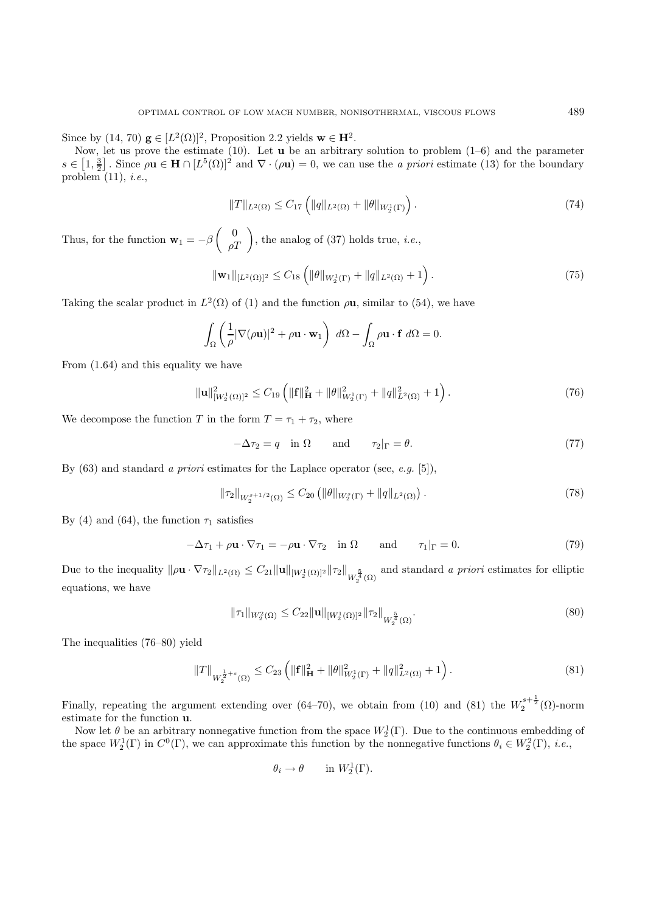Since by  $(14, 70)$   $\mathbf{g} \in [L^2(\Omega)]^2$ , Proposition 2.2 yields  $\mathbf{w} \in \mathbf{H}^2$ .

Now, let us prove the estimate (10). Let **u** be an arbitrary solution to problem (1–6) and the parameter  $s \in [1, \frac{3}{2}]$ . Since  $\rho \mathbf{u} \in \mathbf{H} \cap [L^5(\Omega)]^2$  and  $\nabla \cdot (\rho \mathbf{u}) = 0$ , we can use the *a priori* estimate (13) for the boundary problem  $(11)$ , *i.e.*,

$$
||T||_{L^{2}(\Omega)} \leq C_{17} \left( ||q||_{L^{2}(\Omega)} + ||\theta||_{W_{2}^{1}(\Gamma)} \right).
$$
\n(74)

Thus, for the function  $\mathbf{w}_1 = -\beta \begin{pmatrix} 0 \\ \rho T \end{pmatrix}$ , the analog of (37) holds true, *i.e.*,

$$
\|\mathbf{w}_1\|_{[L^2(\Omega)]^2} \leq C_{18} \left( \|\theta\|_{W_2^1(\Gamma)} + \|q\|_{L^2(\Omega)} + 1 \right). \tag{75}
$$

Taking the scalar product in  $L^2(\Omega)$  of (1) and the function  $\rho$ **u**, similar to (54), we have

$$
\int_{\Omega} \left( \frac{1}{\rho} |\nabla(\rho \mathbf{u})|^2 + \rho \mathbf{u} \cdot \mathbf{w}_1 \right) d\Omega - \int_{\Omega} \rho \mathbf{u} \cdot \mathbf{f} d\Omega = 0.
$$

From (1.64) and this equality we have

$$
\|\mathbf{u}\|_{[W_2^1(\Omega)]^2}^2 \le C_{19} \left( \|\mathbf{f}\|_{\mathbf{H}}^2 + \|\theta\|_{W_2^1(\Gamma)}^2 + \|q\|_{L^2(\Omega)}^2 + 1 \right). \tag{76}
$$

We decompose the function T in the form  $T = \tau_1 + \tau_2$ , where

$$
-\Delta \tau_2 = q \quad \text{in } \Omega \qquad \text{and} \qquad \tau_2|_{\Gamma} = \theta. \tag{77}
$$

By  $(63)$  and standard a priori estimates for the Laplace operator (see, e.g. [5]),

$$
\|\tau_2\|_{W_2^{s+1/2}(\Omega)} \le C_{20} \left( \|\theta\|_{W_2^s(\Gamma)} + \|q\|_{L^2(\Omega)} \right). \tag{78}
$$

By (4) and (64), the function  $\tau_1$  satisfies

$$
-\Delta \tau_1 + \rho \mathbf{u} \cdot \nabla \tau_1 = -\rho \mathbf{u} \cdot \nabla \tau_2 \quad \text{in } \Omega \qquad \text{and} \qquad \tau_1|_{\Gamma} = 0. \tag{79}
$$

Due to the inequality  $\|\rho \mathbf{u} \cdot \nabla \tau_2\|_{L^2(\Omega)} \leq C_{21} \|\mathbf{u}\|_{[W_2^1(\Omega)]^2} \|\tau_2\|_{W_2^{\frac{5}{4}}(\Omega)}$  and standard a priori estimates for elliptic equations, we have

$$
\|\tau_1\|_{W_2^2(\Omega)} \le C_{22} \|\mathbf{u}\|_{[W_2^1(\Omega)]^2} \|\tau_2\|_{W_2^{\frac{5}{4}}(\Omega)}.
$$
\n(80)

The inequalities (76–80) yield

$$
||T||_{W_2^{\frac{1}{2}+s}(\Omega)} \leq C_{23} \left( ||\mathbf{f}||_{\mathbf{H}}^2 + ||\theta||_{W_2^1(\Gamma)}^2 + ||q||_{L^2(\Omega)}^2 + 1 \right). \tag{81}
$$

Finally, repeating the argument extending over (64–70), we obtain from (10) and (81) the  $W_2^{s+\frac{1}{2}}(\Omega)$ -norm estimate for the function **u**.

Now let  $\theta$  be an arbitrary nonnegative function from the space  $W_2^1(\Gamma)$ . Due to the continuous embedding of the space  $W_2^1(\Gamma)$  in  $C^0(\Gamma)$ , we can approximate this function by the nonnegative functions  $\theta_i \in W_2^2(\Gamma)$ , *i.e.*,

$$
\theta_i \to \theta \qquad \text{in } W_2^1(\Gamma).
$$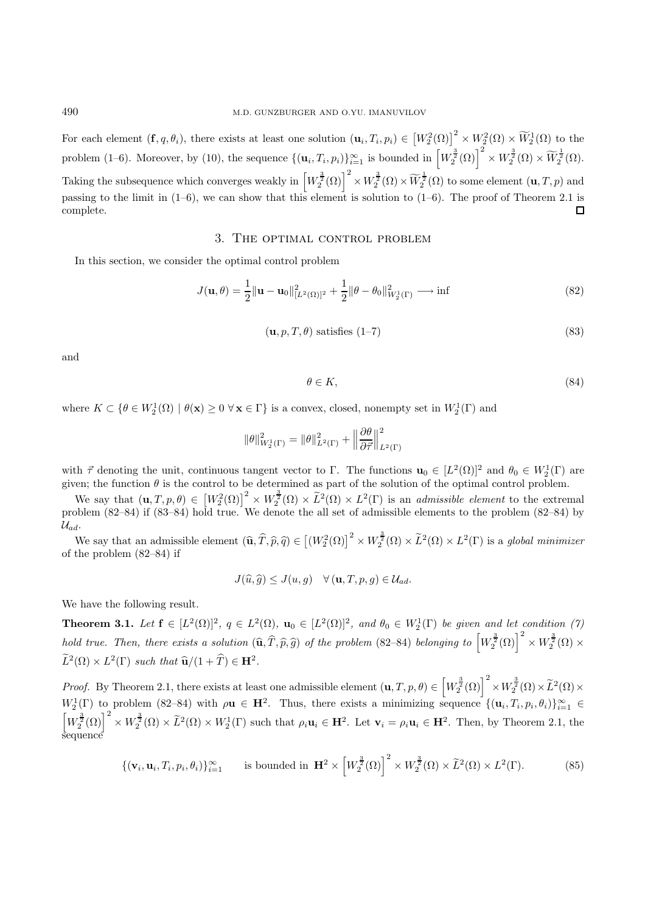For each element  $(\mathbf{f}, q, \theta_i)$ , there exists at least one solution  $(\mathbf{u}_i, T_i, p_i) \in \left[W_2^2(\Omega)\right]^2 \times W_2^2(\Omega) \times \widetilde{W}_2^1(\Omega)$  to the problem (1–6). Moreover, by (10), the sequence  $\{(\mathbf{u}_i, T_i, p_i)\}_{i=1}^{\infty}$  is bounded in  $\left[W_2^{\frac{3}{2}}(\Omega)\right]^2 \times W_2^{\frac{3}{2}}(\Omega) \times \widetilde{W}_2^{\frac{1}{2}}(\Omega)$ . Taking the subsequence which converges weakly in  $\left[W_2^{\frac{3}{2}}(\Omega)\right]^2 \times W_2^{\frac{3}{2}}(\Omega) \times \widetilde{W}_2^{\frac{1}{2}}(\Omega)$  to some element  $(\mathbf{u}, T, p)$  and passing to the limit in  $(1-6)$ , we can show that this element is solution to  $(1-6)$ . The proof of Theorem 2.1 is complete.  $\Box$ 

### 3. The optimal control problem

In this section, we consider the optimal control problem

$$
J(\mathbf{u}, \theta) = \frac{1}{2} ||\mathbf{u} - \mathbf{u}_0||_{[L^2(\Omega)]^2}^2 + \frac{1}{2} ||\theta - \theta_0||_{W_2^1(\Gamma)}^2 \longrightarrow \inf
$$
 (82)

$$
(\mathbf{u}, p, T, \theta) \text{ satisfies (1–7)}\tag{83}
$$

and

$$
\theta \in K,\tag{84}
$$

where  $K \subset \{ \theta \in W_2^1(\Omega) \mid \theta(\mathbf{x}) \geq 0 \ \forall \mathbf{x} \in \Gamma \}$  is a convex, closed, nonempty set in  $W_2^1(\Gamma)$  and

$$
\|\theta\|_{W_2^1(\Gamma)}^2 = \|\theta\|_{L^2(\Gamma)}^2 + \left\|\frac{\partial \theta}{\partial \vec{\tau}}\right\|_{L^2(\Gamma)}^2
$$

with  $\vec{\tau}$  denoting the unit, continuous tangent vector to  $\Gamma$ . The functions  $\mathbf{u}_0 \in [L^2(\Omega)]^2$  and  $\theta_0 \in W_2^1(\Gamma)$  are given; the function  $\theta$  is the control to be determined as part of the solution of the optimal control problem.

We say that  $(\mathbf{u}, T, p, \theta) \in [W_2^2(\Omega)]^2 \times W_2^{\frac{3}{2}}(\Omega) \times \tilde{L}^2(\Omega) \times L^2(\Gamma)$  is an *admissible element* to the extremal problem (82–84) if (83–84) hold true. We denote the all set of admissible elements to the problem (82–84) by  $\mathcal{U}_{ad}$ .

We say that an admissible element  $(\widehat{\mathbf{u}}, \widehat{T}, \widehat{p}, \widehat{q}) \in [(W_2^2(\Omega)]^2 \times W_2^{\frac{3}{2}}(\Omega) \times \widetilde{L}^2(\Omega) \times L^2(\Gamma)$  is a global minimizer of the problem (82–84) if

$$
J(\widehat{u}, \widehat{g}) \le J(u, g) \quad \forall (\mathbf{u}, T, p, g) \in \mathcal{U}_{ad}.
$$

We have the following result.

**Theorem 3.1.** Let  $f \in [L^2(\Omega)]^2$ ,  $q \in L^2(\Omega)$ ,  $\mathbf{u}_0 \in [L^2(\Omega)]^2$ , and  $\theta_0 \in W_2^1(\Gamma)$  be given and let condition (7) hold true. Then, there exists a solution  $(\widehat{\mathbf{u}}, \widehat{T}, \widehat{p}, \widehat{g})$  of the problem (82–84) belonging to  $\left[W_2^{\frac{3}{2}}(\Omega)\right]^2 \times W_2^{\frac{3}{2}}(\Omega) \times$  $\widetilde{L}^2(\Omega) \times L^2(\Gamma)$  such that  $\widehat{\mathbf{u}}/(1 + \widehat{T}) \in \mathbf{H}^2$ .

Proof. By Theorem 2.1, there exists at least one admissible element  $(\mathbf{u}, T, p, \theta) \in \left[W_2^{\frac{3}{2}}(\Omega)\right]^2 \times W_2^{\frac{3}{2}}(\Omega) \times \widetilde{L}^2(\Omega) \times$  $W_2^1(\Gamma)$  to problem (82–84) with  $\rho$ **u**  $\in$  **H**<sup>2</sup>. Thus, there exists a minimizing sequence  $\{(\mathbf{u}_i, T_i, p_i, \theta_i)\}_{i=1}^{\infty}$   $\in$  $\left[W_2^{\frac{3}{2}}(\Omega)\right]^2 \times W_2^{\frac{3}{2}}(\Omega) \times \tilde{L}^2(\Omega) \times W_2^1(\Gamma)$  such that  $\rho_i \mathbf{u}_i \in \mathbf{H}^2$ . Let  $\mathbf{v}_i = \rho_i \mathbf{u}_i \in \mathbf{H}^2$ . Then, by Theorem 2.1, the sequence

$$
\{(\mathbf{v}_i, \mathbf{u}_i, T_i, p_i, \theta_i)\}_{i=1}^{\infty} \text{ is bounded in } \mathbf{H}^2 \times \left[W_2^{\frac{3}{2}}(\Omega)\right]^2 \times W_2^{\frac{3}{2}}(\Omega) \times \widetilde{L}^2(\Omega) \times L^2(\Gamma). \tag{85}
$$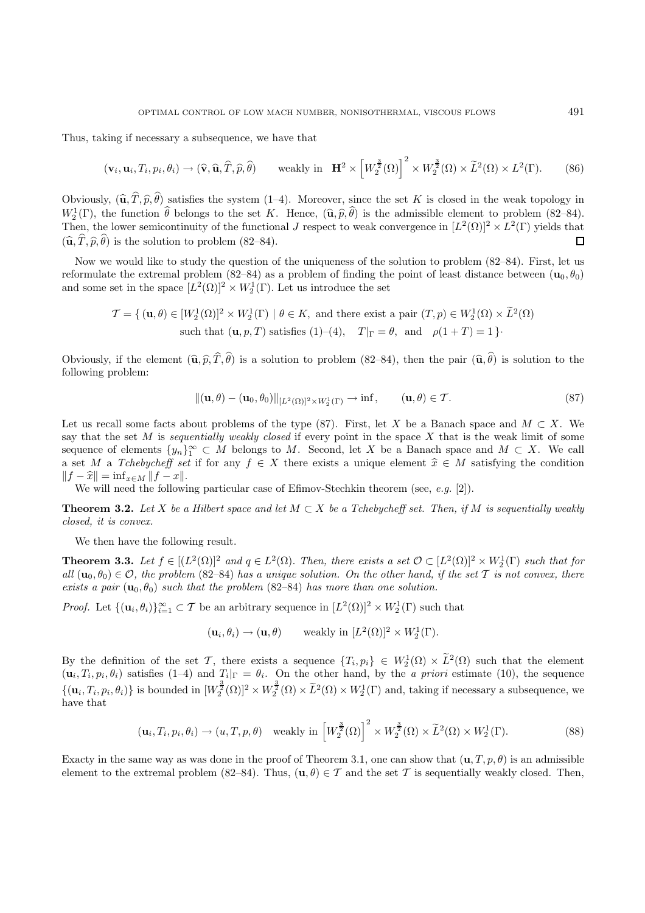Thus, taking if necessary a subsequence, we have that

$$
(\mathbf{v}_i, \mathbf{u}_i, T_i, p_i, \theta_i) \to (\widehat{\mathbf{v}}, \widehat{\mathbf{u}}, \widehat{T}, \widehat{p}, \widehat{\theta}) \qquad \text{weakly in } \mathbf{H}^2 \times \left[W_2^{\frac{3}{2}}(\Omega)\right]^2 \times W_2^{\frac{3}{2}}(\Omega) \times \widetilde{L}^2(\Omega) \times L^2(\Gamma). \tag{86}
$$

Obviously,  $(\hat{\mathbf{u}}, T, \hat{p}, \theta)$  satisfies the system (1–4). Moreover, since the set K is closed in the weak topology in  $W^{1}(\Gamma)$  the function  $\hat{\theta}$  belongs to the set K. Hones  $(\hat{\mathbf{u}}, \hat{\mathbf{z}}, \hat{\theta})$  is the admissible  $W_2^1(\Gamma)$ , the function  $\hat{\theta}$  belongs to the set K. Hence,  $(\hat{\mathbf{u}}, \hat{p}, \hat{\theta})$  is the admissible element to problem (82–84).<br>Then the lower semicontinuity of the functional Lysenect to weak convergence in [ $L^2(\Omega)$ ]<sup>2</sup> Then, the lower semicontinuity of the functional J respect to weak convergence in  $[L^2(\Omega)]^2 \times L^2(\Gamma)$  yields that  $(\widehat{\mathbf{u}}, T, \widehat{p}, \theta)$  is the solution to problem (82–84).  $\Box$ 

Now we would like to study the question of the uniqueness of the solution to problem (82–84). First, let us reformulate the extremal problem (82–84) as a problem of finding the point of least distance between  $(\mathbf{u}_0, \theta_0)$ and some set in the space  $[L^2(\Omega)]^2 \times W_2^1(\Gamma)$ . Let us introduce the set

$$
\mathcal{T} = \{ (\mathbf{u}, \theta) \in [W_2^1(\Omega)]^2 \times W_2^1(\Gamma) \mid \theta \in K, \text{ and there exist a pair } (T, p) \in W_2^1(\Omega) \times \tilde{L}^2(\Omega)
$$
  
such that  $(\mathbf{u}, p, T)$  satisfies  $(1)–(4)$ ,  $T|_{\Gamma} = \theta$ , and  $\rho(1 + T) = 1 \}$ .

Obviously, if the element  $(\hat{\mathbf{u}}, \hat{p}, T, \theta)$  is a solution to problem (82–84), then the pair  $(\hat{\mathbf{u}}, \theta)$  is solution to the following problem: following problem:

$$
\|(\mathbf{u},\theta) - (\mathbf{u}_0,\theta_0)\|_{[L^2(\Omega)]^2 \times W_2^1(\Gamma)} \to \inf, \qquad (\mathbf{u},\theta) \in \mathcal{T}.\tag{87}
$$

Let us recall some facts about problems of the type (87). First, let X be a Banach space and  $M \subset X$ . We say that the set  $M$  is sequentially weakly closed if every point in the space  $X$  that is the weak limit of some sequence of elements  $\{y_n\}_1^{\infty} \subset M$  belongs to M. Second, let X be a Banach space and  $M \subset X$ . We call a set M a Tchebycheff set if for any  $f \in X$  there exists a unique element  $\hat{x} \in M$  satisfying the condition  $||f - \hat{x}|| = \inf_{x \in M} ||f - x||.$ 

We will need the following particular case of Efimov-Stechkin theorem (see, e.g. [2]).

**Theorem 3.2.** Let X be a Hilbert space and let  $M \subset X$  be a Tchebycheff set. Then, if M is sequentially weakly closed, it is convex.

We then have the following result.

**Theorem 3.3.** Let  $f \in [(L^2(\Omega)]^2$  and  $q \in L^2(\Omega)$ . Then, there exists a set  $\mathcal{O} \subset [L^2(\Omega)]^2 \times W_2^1(\Gamma)$  such that for all  $(\mathbf{u}_0, \theta_0) \in \mathcal{O}$ , the problem (82–84) has a unique solution. On the other hand, if the set T is not convex, there exists a pair  $(\mathbf{u}_0, \theta_0)$  such that the problem (82–84) has more than one solution.

*Proof.* Let  $\{(\mathbf{u}_i, \theta_i)\}_{i=1}^{\infty} \subset \mathcal{T}$  be an arbitrary sequence in  $[L^2(\Omega)]^2 \times W_2^1(\Gamma)$  such that

 $(\mathbf{u}_i, \theta_i) \to (\mathbf{u}, \theta)$  weakly in  $[L^2(\Omega)]^2 \times W_2^1(\Gamma)$ .

By the definition of the set T, there exists a sequence  $\{T_i, p_i\} \in W_2^1(\Omega) \times \tilde{L}^2(\Omega)$  such that the element  $(\mathbf{u}_i, T_i, p_i, \theta_i)$  satisfies (1–4) and  $T_i|_{\Gamma} = \theta_i$ . On the other hand, by the *a priori* estimate (10), the sequence  $\{(\mathbf{u}_i, T_i, p_i, \theta_i)\}\$ is bounded in  $[W_2^{\frac{3}{2}}(\Omega)]^2 \times W_2^{\frac{3}{2}}(\Omega) \times \tilde{L}^2(\Omega) \times W_2^1(\Gamma)$  and, taking if necessary a subsequence, we have that

$$
(\mathbf{u}_i, T_i, p_i, \theta_i) \to (u, T, p, \theta) \quad \text{weakly in } \left[W_2^{\frac{3}{2}}(\Omega)\right]^2 \times W_2^{\frac{3}{2}}(\Omega) \times \widetilde{L}^2(\Omega) \times W_2^1(\Gamma). \tag{88}
$$

Exacty in the same way as was done in the proof of Theorem 3.1, one can show that  $(\mathbf{u}, T, p, \theta)$  is an admissible element to the extremal problem (82–84). Thus,  $(\mathbf{u}, \theta) \in \mathcal{T}$  and the set T is sequentially weakly closed. Then,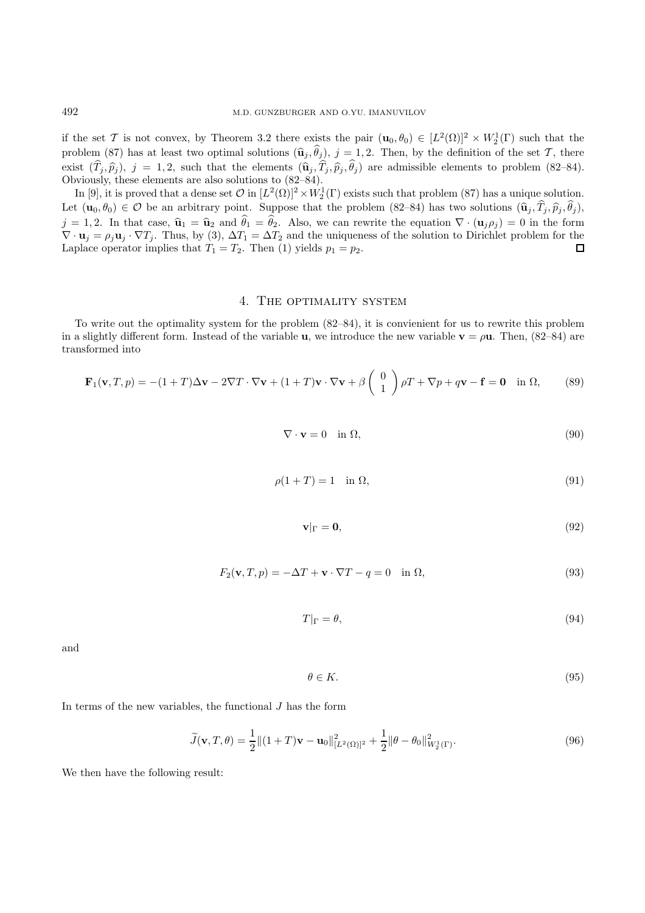if the set T is not convex, by Theorem 3.2 there exists the pair  $(\mathbf{u}_0, \theta_0) \in [L^2(\Omega)]^2 \times W_2^1(\Gamma)$  such that the problem (87) has at least two optimal solutions  $(\hat{\mathbf{u}}_j, \theta_j)$ ,  $j = 1, 2$ . Then, by the definition of the set  $\mathcal{T}$ , there exist  $(T_j, \hat{p}_j)$ ,  $j = 1, 2$ , such that the elements  $(\hat{\mathbf{u}}_j, T_j, \hat{p}_j, \theta_j)$  are admissible elements to problem (82–84). Obviously, these elements are also solutions to (82–84).

In [9], it is proved that a dense set  $\mathcal{O}$  in  $[L^2(\Omega)]^2 \times W_2^1(\Gamma)$  exists such that problem (87) has a unique solution. Let  $(\mathbf{u}_0, \theta_0) \in \mathcal{O}$  be an arbitrary point. Suppose that the problem  $(82-84)$  has two solutions  $(\hat{\mathbf{u}}_j, T_j, \hat{p}_j, \theta_j)$ ,  $\vdots$  ,  $\mathbf{u}_j$  ,  $\mathbf{u}_j$  ,  $\mathbf{u}_j$  ,  $\mathbf{u}_j$  ,  $\mathbf{u}_j$  ,  $\mathbf{u}_j$  ,  $\mathbf{u}_j$  $j = 1, 2$ . In that case,  $\hat{\mathbf{u}}_1 = \hat{\mathbf{u}}_2$  and  $\theta_1 = \theta_2$ . Also, we can rewrite the equation  $\nabla \cdot (\mathbf{u}_j \rho_j) = 0$  in the form  $\nabla \cdot \mathbf{u}_1 = \alpha \mathbf{u}_2 \cdot \nabla T$ . Thus by (3)  $\Delta T = \Delta T$  and the uniqueness of the soluti  $\nabla \cdot \mathbf{u}_j = \rho_j \mathbf{u}_j \cdot \nabla T_j$ . Thus, by (3),  $\Delta T_1 = \Delta T_2$  and the uniqueness of the solution to Dirichlet problem for the Laplace operator implies that  $T_1 = T_2$ . Then (1) yields  $p_1 = p_2$ . П

#### 4. The optimality system

To write out the optimality system for the problem (82–84), it is convienient for us to rewrite this problem in a slightly different form. Instead of the variable **u**, we introduce the new variable  $\mathbf{v} = \rho \mathbf{u}$ . Then, (82–84) are transformed into

$$
\mathbf{F}_1(\mathbf{v}, T, p) = -(1+T)\Delta \mathbf{v} - 2\nabla T \cdot \nabla \mathbf{v} + (1+T)\mathbf{v} \cdot \nabla \mathbf{v} + \beta \begin{pmatrix} 0 \\ 1 \end{pmatrix} \rho T + \nabla p + q\mathbf{v} - \mathbf{f} = \mathbf{0} \quad \text{in } \Omega,
$$
 (89)

$$
\nabla \cdot \mathbf{v} = 0 \quad \text{in } \Omega,
$$
\n<sup>(90)</sup>

$$
\rho(1+T) = 1 \quad \text{in } \Omega,\tag{91}
$$

$$
\mathbf{v}|_{\Gamma} = \mathbf{0},\tag{92}
$$

$$
F_2(\mathbf{v}, T, p) = -\Delta T + \mathbf{v} \cdot \nabla T - q = 0 \quad \text{in } \Omega,
$$
\n(93)

$$
T|_{\Gamma} = \theta,\tag{94}
$$

and

$$
\theta \in K. \tag{95}
$$

In terms of the new variables, the functional  $J$  has the form

$$
\widetilde{J}(\mathbf{v}, T, \theta) = \frac{1}{2} ||(1 + T)\mathbf{v} - \mathbf{u}_0||_{[L^2(\Omega)]^2}^2 + \frac{1}{2} ||\theta - \theta_0||_{W_2^1(\Gamma)}^2.
$$
\n(96)

We then have the following result: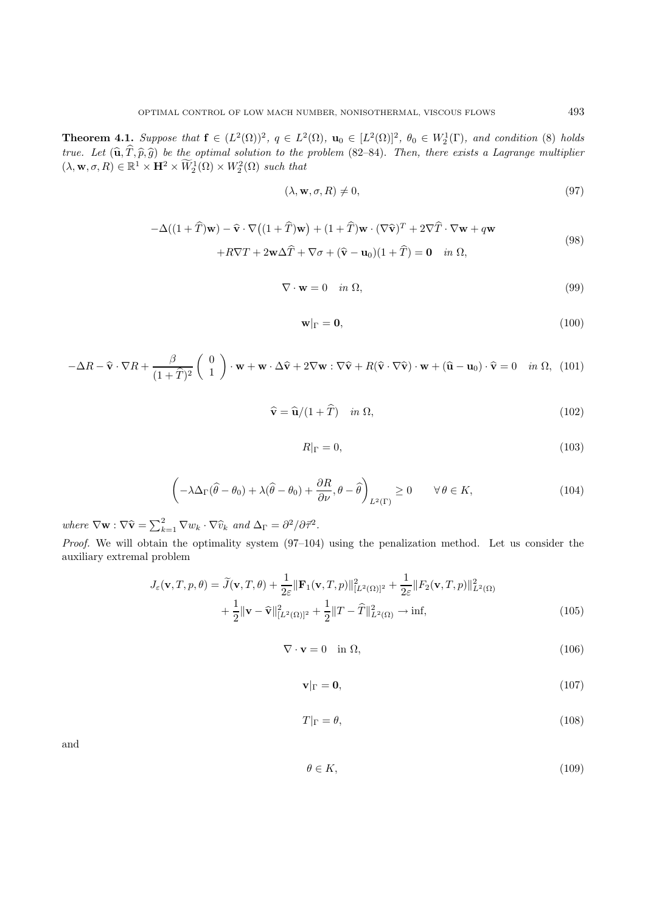**Theorem 4.1.** Suppose that  $f \in (L^2(\Omega))^2$ ,  $q \in L^2(\Omega)$ ,  $\mathbf{u}_0 \in [L^2(\Omega)]^2$ ,  $\theta_0 \in W_2^1(\Gamma)$ , and condition (8) holds true. Let  $(\widehat{\mathbf{u}}, \widehat{T}, \widehat{p}, \widehat{g})$  be the optimal solution to the problem (82–84). Then, there exists a Lagrange multiplier  $(\lambda, \mathbf{w}, \sigma, R) \in \mathbb{R}^1 \times \mathbf{H}^2 \times W_2^1(\Omega) \times W_2^2(\Omega)$  such that

$$
(\lambda, \mathbf{w}, \sigma, R) \neq 0,\tag{97}
$$

$$
-\Delta((1+\widehat{T})\mathbf{w}) - \widehat{\mathbf{v}} \cdot \nabla((1+\widehat{T})\mathbf{w}) + (1+\widehat{T})\mathbf{w} \cdot (\nabla \widehat{\mathbf{v}})^{T} + 2\nabla \widehat{T} \cdot \nabla \mathbf{w} + q\mathbf{w} + R\nabla T + 2\mathbf{w}\Delta \widehat{T} + \nabla \sigma + (\widehat{\mathbf{v}} - \mathbf{u}_0)(1+\widehat{T}) = \mathbf{0} \quad in \ \Omega,
$$
\n(98)

$$
\nabla \cdot \mathbf{w} = 0 \quad in \ \Omega,
$$
\n<sup>(99)</sup>

$$
\mathbf{w}|_{\Gamma} = \mathbf{0},\tag{100}
$$

$$
-\Delta R - \hat{\mathbf{v}} \cdot \nabla R + \frac{\beta}{(1+\hat{T})^2} \begin{pmatrix} 0\\1 \end{pmatrix} \cdot \mathbf{w} + \mathbf{w} \cdot \Delta \hat{\mathbf{v}} + 2\nabla \mathbf{w} : \nabla \hat{\mathbf{v}} + R(\hat{\mathbf{v}} \cdot \nabla \hat{\mathbf{v}}) \cdot \mathbf{w} + (\hat{\mathbf{u}} - \mathbf{u}_0) \cdot \hat{\mathbf{v}} = 0 \quad in \ \Omega, \ (101)
$$

$$
\widehat{\mathbf{v}} = \widehat{\mathbf{u}}/(1+\widehat{T}) \quad in \ \Omega,
$$
\n(102)

$$
R|_{\Gamma} = 0,\t\t(103)
$$

$$
\left(-\lambda \Delta_{\Gamma}(\widehat{\theta} - \theta_0) + \lambda(\widehat{\theta} - \theta_0) + \frac{\partial R}{\partial \nu}, \theta - \widehat{\theta}\right)_{L^2(\Gamma)} \ge 0 \qquad \forall \theta \in K,
$$
\n(104)

where  $\nabla \mathbf{w} : \nabla \widehat{\mathbf{v}} = \sum_{k=1}^{2} \nabla w_k \cdot \nabla \widehat{v}_k$  and  $\Delta_{\Gamma} = \partial^2 / \partial \overline{\tau}^2$ .

Proof. We will obtain the optimality system  $(97-104)$  using the penalization method. Let us consider the auxiliary extremal problem

$$
J_{\varepsilon}(\mathbf{v}, T, p, \theta) = \widetilde{J}(\mathbf{v}, T, \theta) + \frac{1}{2\varepsilon} \|\mathbf{F}_1(\mathbf{v}, T, p)\|_{[L^2(\Omega)]^2}^2 + \frac{1}{2\varepsilon} \|F_2(\mathbf{v}, T, p)\|_{L^2(\Omega)}^2 + \frac{1}{2} \|\mathbf{v} - \widehat{\mathbf{v}}\|_{[L^2(\Omega)]^2}^2 + \frac{1}{2} \|T - \widehat{T}\|_{L^2(\Omega)}^2 \to \inf,
$$
\n(105)

$$
\nabla \cdot \mathbf{v} = 0 \quad \text{in } \Omega,\tag{106}
$$

$$
\mathbf{v}|_{\Gamma} = \mathbf{0},\tag{107}
$$

$$
T|_{\Gamma} = \theta,\tag{108}
$$

and

$$
\theta \in K,\tag{109}
$$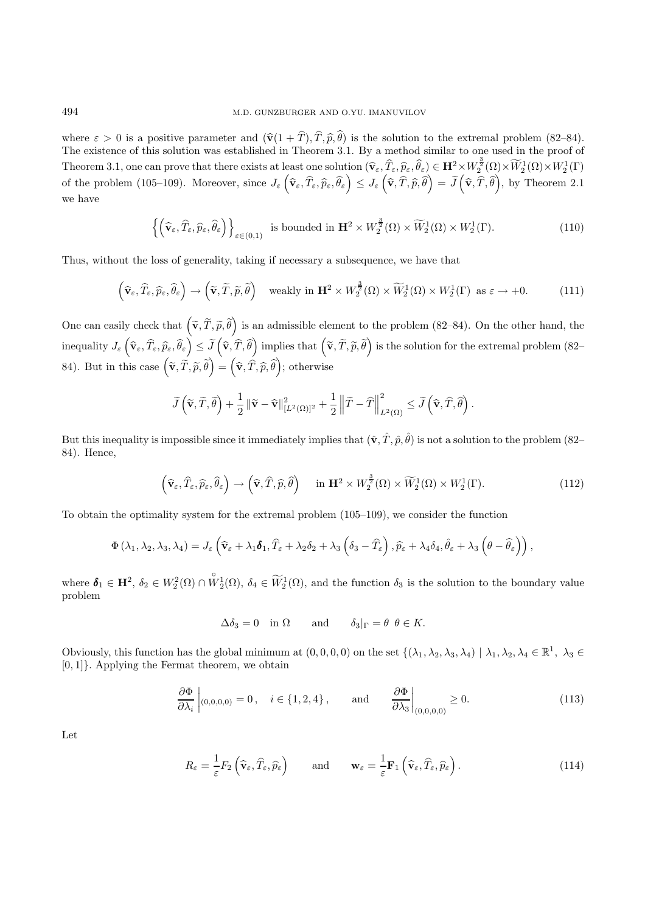where  $\varepsilon > 0$  is a positive parameter and  $(\hat{\mathbf{v}}(1 + T), T, \hat{\mathbf{p}}, \theta)$  is the solution to the extremal problem (82–84).<br>The existence of this solution was established in Theorem 3.1. By a method similar to one used in th The existence of this solution was established in Theorem 3.1. By a method similar to one used in the proof of Theorem 3.1, one can prove that there exists at least one solution  $(\hat{\mathbf{v}}_{\varepsilon}, \hat{T}_{\varepsilon}, \hat{p}_{\varepsilon}, \hat{\theta}_{\varepsilon}) \in \mathbf{H}^2 \times W_2^{\frac{3}{2}}(\Omega) \times \widetilde{W}_2^1(\Omega) \times W_2^1(\Gamma)$ of the problem (105–109). Moreover, since  $J_{\varepsilon} \left( \widehat{\mathbf{v}}_{\varepsilon}, \widehat{T}_{\varepsilon}, \widehat{p}_{\varepsilon}, \widehat{\theta}_{\varepsilon} \right) \leq J_{\varepsilon} \left( \widehat{\mathbf{v}}, \widehat{T}, \widehat{p}, \widehat{\theta} \right)$  $\Big) = \widetilde{J}$  $\left(\widehat{\mathbf{v}}, \widehat{T}, \widehat{\theta}\right)$ ), by Theorem  $2.1$ we have

$$
\left\{ \left( \widehat{\mathbf{v}}_{\varepsilon}, \widehat{T}_{\varepsilon}, \widehat{p}_{\varepsilon}, \widehat{\theta}_{\varepsilon} \right) \right\}_{\varepsilon \in (0,1)} \text{ is bounded in } \mathbf{H}^2 \times W_2^{\frac{3}{2}}(\Omega) \times \widetilde{W}_2^1(\Omega) \times W_2^1(\Gamma). \tag{110}
$$

Thus, without the loss of generality, taking if necessary a subsequence, we have that

$$
\left(\widehat{\mathbf{v}}_{\varepsilon},\widehat{T}_{\varepsilon},\widehat{p}_{\varepsilon},\widehat{\theta}_{\varepsilon}\right) \to \left(\widetilde{\mathbf{v}},\widetilde{T},\widetilde{p},\widetilde{\theta}\right) \quad \text{weakly in } \mathbf{H}^2 \times W_2^{\frac{3}{2}}(\Omega) \times \widetilde{W}_2^1(\Omega) \times W_2^1(\Gamma) \text{ as } \varepsilon \to +0. \tag{111}
$$

One can easily check that  $(\widetilde{\mathbf{v}}, \widetilde{T}, \widetilde{p}, \widetilde{\theta})$ is an admissible element to the problem  $(82-84)$ . On the other hand, the  $\text{inequality } J_{\varepsilon}\left(\widehat{\mathbf{v}}_{\varepsilon}, \widehat{T}_{\varepsilon}, \widehat{p}_{\varepsilon}, \widehat{\theta}_{\varepsilon}\right) \leq \widetilde{J}$  $\left(\widehat{\mathbf{v}}, \widehat{T}, \widehat{\theta}\right)$  $\liminf_{n \to \infty} \left( \widetilde{\mathbf{v}}, \widetilde{T}, \widetilde{p}, \widetilde{\theta} \right)$ is the solution for the extremal problem  $(82-$ 84). But in this case  $(\tilde{\mathbf{v}}, \tilde{T}, \tilde{p}, \tilde{\theta})$  $\bigg) = \left( \widehat{\mathbf{v}}, \widehat{T}, \widehat{p}, \widehat{\theta} \right)$ ; otherwise

$$
\widetilde{J}\left(\widetilde{\mathbf{v}},\widetilde{T},\widetilde{\theta}\right) + \frac{1}{2} \left\|\widetilde{\mathbf{v}} - \widehat{\mathbf{v}}\right\|_{[L^2(\Omega)]^2}^2 + \frac{1}{2} \left\|\widetilde{T} - \widehat{T}\right\|_{L^2(\Omega)}^2 \le \widetilde{J}\left(\widehat{\mathbf{v}},\widehat{T},\widehat{\theta}\right).
$$

But this inequality is impossible since it immediately implies that  $(\hat{\mathbf{v}}, \hat{T}, \hat{p}, \hat{\theta})$  is not a solution to the problem (82– 84). Hence,

$$
\left(\widehat{\mathbf{v}}_{\varepsilon},\widehat{T}_{\varepsilon},\widehat{p}_{\varepsilon},\widehat{\theta}_{\varepsilon}\right) \to \left(\widehat{\mathbf{v}},\widehat{T},\widehat{p},\widehat{\theta}\right) \quad \text{ in } \mathbf{H}^2 \times W_2^{\frac{3}{2}}(\Omega) \times \widetilde{W}_2^1(\Omega) \times W_2^1(\Gamma). \tag{112}
$$

To obtain the optimality system for the extremal problem (105–109), we consider the function

$$
\Phi\left(\lambda_{1},\lambda_{2},\lambda_{3},\lambda_{4}\right)=J_{\varepsilon}\left(\widehat{\mathbf{v}}_{\varepsilon}+\lambda_{1}\boldsymbol{\delta}_{1},\widehat{T}_{\varepsilon}+\lambda_{2}\delta_{2}+\lambda_{3}\left(\delta_{3}-\widehat{T}_{\varepsilon}\right),\widehat{p}_{\varepsilon}+\lambda_{4}\delta_{4},\widehat{\theta}_{\varepsilon}+\lambda_{3}\left(\theta-\widehat{\theta}_{\varepsilon}\right)\right),
$$

where  $\mathbf{\delta}_1 \in \mathbf{H}^2$ ,  $\delta_2 \in W_2^2(\Omega) \cap \mathring{W}_2^1(\Omega)$ ,  $\delta_4 \in \widetilde{W}_2^1(\Omega)$ , and the function  $\delta_3$  is the solution to the boundary value problem

$$
\Delta \delta_3 = 0 \quad \text{in } \Omega \qquad \text{and} \qquad \delta_3|_{\Gamma} = \theta \ \theta \in K.
$$

Obviously, this function has the global minimum at  $(0, 0, 0, 0)$  on the set  $\{(\lambda_1, \lambda_2, \lambda_3, \lambda_4) \mid \lambda_1, \lambda_2, \lambda_4 \in \mathbb{R}^1, \lambda_3 \in \mathbb{R}^2\}$ [0, 1]}. Applying the Fermat theorem, we obtain

$$
\frac{\partial \Phi}{\partial \lambda_i} \bigg|_{(0,0,0,0)} = 0, \quad i \in \{1, 2, 4\}, \quad \text{and} \quad \frac{\partial \Phi}{\partial \lambda_3} \bigg|_{(0,0,0,0)} \ge 0. \tag{113}
$$

Let

$$
R_{\varepsilon} = \frac{1}{\varepsilon} F_2 \left( \widehat{\mathbf{v}}_{\varepsilon}, \widehat{T}_{\varepsilon}, \widehat{p}_{\varepsilon} \right) \quad \text{and} \quad \mathbf{w}_{\varepsilon} = \frac{1}{\varepsilon} \mathbf{F}_1 \left( \widehat{\mathbf{v}}_{\varepsilon}, \widehat{T}_{\varepsilon}, \widehat{p}_{\varepsilon} \right). \tag{114}
$$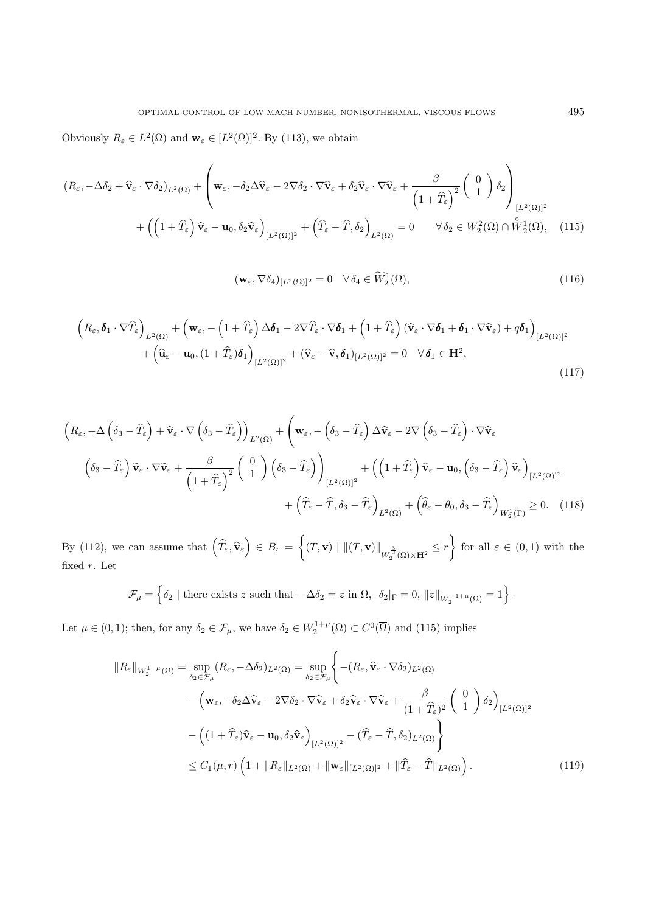Obviously  $R_{\varepsilon} \in L^2(\Omega)$  and  $\mathbf{w}_{\varepsilon} \in [L^2(\Omega)]^2$ . By (113), we obtain

$$
(R_{\varepsilon}, -\Delta\delta_2 + \widehat{\mathbf{v}}_{\varepsilon} \cdot \nabla\delta_2)_{L^2(\Omega)} + \left(\mathbf{w}_{\varepsilon}, -\delta_2\Delta\widehat{\mathbf{v}}_{\varepsilon} - 2\nabla\delta_2 \cdot \nabla\widehat{\mathbf{v}}_{\varepsilon} + \delta_2\widehat{\mathbf{v}}_{\varepsilon} \cdot \nabla\widehat{\mathbf{v}}_{\varepsilon} + \frac{\beta}{\left(1 + \widehat{T}_{\varepsilon}\right)^2} \left(\begin{array}{c} 0\\1 \end{array}\right) \delta_2\right)_{[L^2(\Omega)]^2} + \left(\left(1 + \widehat{T}_{\varepsilon}\right)\widehat{\mathbf{v}}_{\varepsilon} - \mathbf{u}_0, \delta_2\widehat{\mathbf{v}}_{\varepsilon}\right)_{[L^2(\Omega)]^2} + \left(\widehat{T}_{\varepsilon} - \widehat{T}, \delta_2\right)_{L^2(\Omega)} = 0 \qquad \forall \delta_2 \in W_2^2(\Omega) \cap \stackrel{\circ}{W}_2^1(\Omega), \quad (115)
$$

$$
(\mathbf{w}_{\varepsilon}, \nabla \delta_4)_{[L^2(\Omega)]^2} = 0 \quad \forall \, \delta_4 \in \widetilde{W}_2^1(\Omega), \tag{116}
$$

$$
\left(R_{\varepsilon}, \boldsymbol{\delta}_{1} \cdot \nabla \widehat{T}_{\varepsilon}\right)_{L^{2}(\Omega)} + \left(\mathbf{w}_{\varepsilon}, -\left(1+\widehat{T}_{\varepsilon}\right) \Delta \boldsymbol{\delta}_{1} - 2 \nabla \widehat{T}_{\varepsilon} \cdot \nabla \boldsymbol{\delta}_{1} + \left(1+\widehat{T}_{\varepsilon}\right) (\widehat{\mathbf{v}}_{\varepsilon} \cdot \nabla \boldsymbol{\delta}_{1} + \boldsymbol{\delta}_{1} \cdot \nabla \widehat{\mathbf{v}}_{\varepsilon}) + q \boldsymbol{\delta}_{1}\right)_{[L^{2}(\Omega)]^{2}} + \left(\widehat{\mathbf{u}}_{\varepsilon} - \mathbf{u}_{0}, (1+\widehat{T}_{\varepsilon}) \boldsymbol{\delta}_{1}\right)_{[L^{2}(\Omega)]^{2}} + (\widehat{\mathbf{v}}_{\varepsilon} - \widehat{\mathbf{v}}, \boldsymbol{\delta}_{1})_{[L^{2}(\Omega)]^{2}} = 0 \quad \forall \boldsymbol{\delta}_{1} \in \mathbf{H}^{2},
$$
\n(117)

$$
\left(R_{\varepsilon}, -\Delta\left(\delta_{3} - \widehat{T}_{\varepsilon}\right) + \widehat{\mathbf{v}}_{\varepsilon} \cdot \nabla\left(\delta_{3} - \widehat{T}_{\varepsilon}\right)\right)_{L^{2}(\Omega)} + \left(\mathbf{w}_{\varepsilon}, -\left(\delta_{3} - \widehat{T}_{\varepsilon}\right)\Delta\widehat{\mathbf{v}}_{\varepsilon} - 2\nabla\left(\delta_{3} - \widehat{T}_{\varepsilon}\right) \cdot \nabla\widehat{\mathbf{v}}_{\varepsilon}
$$
\n
$$
\left(\delta_{3} - \widehat{T}_{\varepsilon}\right)\widetilde{\mathbf{v}}_{\varepsilon} \cdot \nabla\widetilde{\mathbf{v}}_{\varepsilon} + \frac{\beta}{\left(1 + \widehat{T}_{\varepsilon}\right)^{2}}\left(\begin{array}{c} 0\\ 1 \end{array}\right)\left(\delta_{3} - \widehat{T}_{\varepsilon}\right)\right)_{[L^{2}(\Omega)]^{2}} + \left(\left(1 + \widehat{T}_{\varepsilon}\right)\widehat{\mathbf{v}}_{\varepsilon} - \mathbf{u}_{0}, \left(\delta_{3} - \widehat{T}_{\varepsilon}\right)\widehat{\mathbf{v}}_{\varepsilon}\right)_{[L^{2}(\Omega)]^{2}} + \left(\widehat{T}_{\varepsilon} - \widehat{T}, \delta_{3} - \widehat{T}_{\varepsilon}\right)_{L^{2}(\Omega)} + \left(\widehat{\theta}_{\varepsilon} - \theta_{0}, \delta_{3} - \widehat{T}_{\varepsilon}\right)_{W_{2}^{1}(\Gamma)} \geq 0. \quad (118)
$$

By (112), we can assume that  $\left(\widehat{T}_{\varepsilon}, \widehat{\mathbf{v}}_{\varepsilon}\right) \in B_r = \left\{ (T, \mathbf{v}) \mid ||(T, \mathbf{v})||_{W_2^{\frac{3}{2}}(\Omega) \times \mathbf{H}^2} \leq r \right\}$  for all  $\varepsilon \in (0, 1)$  with the fixed r. Let

$$
\mathcal{F}_{\mu} = \left\{ \delta_2 \mid \text{there exists } z \text{ such that } -\Delta \delta_2 = z \text{ in } \Omega, \ \delta_2 |_{\Gamma} = 0, \ \|z\|_{W_2^{-1+\mu}(\Omega)} = 1 \right\}.
$$

Let  $\mu \in (0,1)$ ; then, for any  $\delta_2 \in \mathcal{F}_{\mu}$ , we have  $\delta_2 \in W_2^{1+\mu}(\Omega) \subset C^0(\overline{\Omega})$  and (115) implies

$$
||R_{\varepsilon}||_{W_{2}^{1-\mu}(\Omega)} = \sup_{\delta_{2}\in\mathcal{F}_{\mu}}(R_{\varepsilon}, -\Delta\delta_{2})_{L^{2}(\Omega)} = \sup_{\delta_{2}\in\mathcal{F}_{\mu}}\left\{-(R_{\varepsilon}, \widehat{\mathbf{v}}_{\varepsilon}\cdot\nabla\delta_{2})_{L^{2}(\Omega)}\right. -\left(\mathbf{w}_{\varepsilon}, -\delta_{2}\Delta\widehat{\mathbf{v}}_{\varepsilon} - 2\nabla\delta_{2}\cdot\nabla\widehat{\mathbf{v}}_{\varepsilon} + \delta_{2}\widehat{\mathbf{v}}_{\varepsilon}\cdot\nabla\widehat{\mathbf{v}}_{\varepsilon} + \frac{\beta}{(1+\widehat{T}_{\varepsilon})^{2}}\left(\begin{array}{c}0\\1\end{array}\right)\delta_{2}\right)_{[L^{2}(\Omega)]^{2}} -\left((1+\widehat{T}_{\varepsilon})\widehat{\mathbf{v}}_{\varepsilon}-\mathbf{u}_{0}, \delta_{2}\widehat{\mathbf{v}}_{\varepsilon}\right)_{[L^{2}(\Omega)]^{2}} - (\widehat{T}_{\varepsilon}-\widehat{T}, \delta_{2})_{L^{2}(\Omega)}\right\} \leq C_{1}(\mu, r)\left(1+\|R_{\varepsilon}\|_{L^{2}(\Omega)}+\|\mathbf{w}_{\varepsilon}\|_{[L^{2}(\Omega)]^{2}}+\|\widehat{T}_{\varepsilon}-\widehat{T}\|_{L^{2}(\Omega)}\right). \tag{119}
$$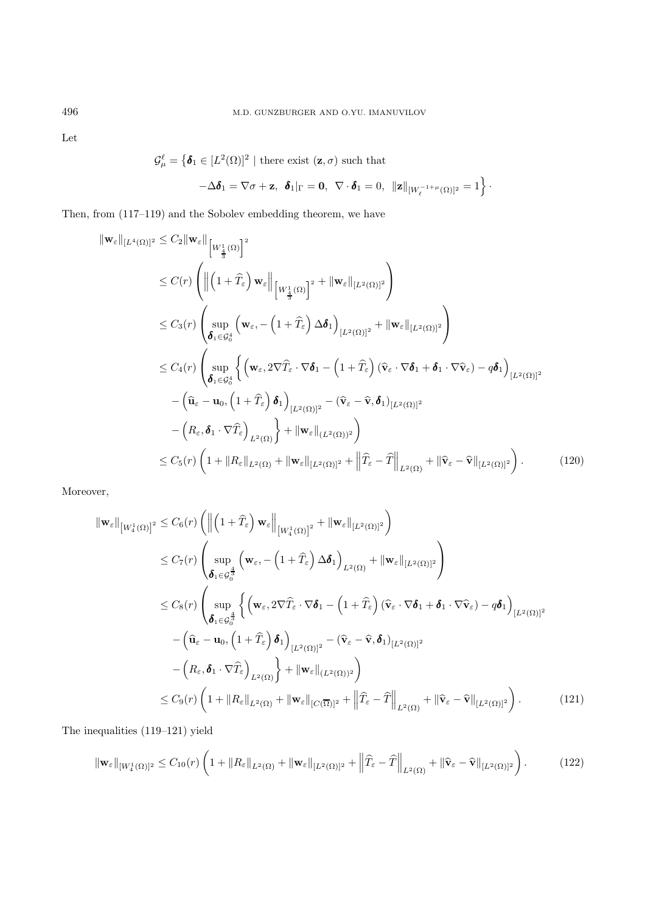Let

$$
\mathcal{G}_{\mu}^{\ell} = \left\{ \boldsymbol{\delta}_{1} \in [L^{2}(\Omega)]^{2} \mid \text{there exist } (\mathbf{z}, \sigma) \text{ such that } \right\}
$$

$$
-\Delta \boldsymbol{\delta}_1 = \nabla \sigma + \mathbf{z}, \ \boldsymbol{\delta}_1|_{\Gamma} = \mathbf{0}, \ \nabla \cdot \boldsymbol{\delta}_1 = 0, \ ||\mathbf{z}||_{[W_{\ell}^{-1+\mu}(\Omega)]^2} = 1 \bigg\}.
$$

Then, from (117–119) and the Sobolev embedding theorem, we have

$$
\begin{split}\n\|\mathbf{w}_{\varepsilon}\|_{[L^{4}(\Omega)]^{2}} &\leq C_{2} \|\mathbf{w}_{\varepsilon}\| \left[W_{\frac{4}{3}}^{1}(\Omega)\right]^{2} \\
&\leq C(r) \left( \left\|\left(1+\widehat{T}_{\varepsilon}\right)\mathbf{w}_{\varepsilon}\right\|_{\left[W_{\frac{1}{3}}^{1}(\Omega)\right]^{2}} + \|\mathbf{w}_{\varepsilon}\|_{[L^{2}(\Omega)]^{2}} \right) \\
&\leq C_{3}(r) \left(\sup_{\boldsymbol{\delta}_{1}\in\mathcal{G}_{0}^{4}} \left(\mathbf{w}_{\varepsilon},-\left(1+\widehat{T}_{\varepsilon}\right)\Delta\boldsymbol{\delta}_{1}\right)_{[L^{2}(\Omega)]^{2}} + \|\mathbf{w}_{\varepsilon}\|_{[L^{2}(\Omega)]^{2}}\right) \\
&\leq C_{4}(r) \left(\sup_{\boldsymbol{\delta}_{1}\in\mathcal{G}_{0}^{4}} \left\{\left(\mathbf{w}_{\varepsilon},2\nabla\widehat{T}_{\varepsilon}\cdot\nabla\boldsymbol{\delta}_{1}-\left(1+\widehat{T}_{\varepsilon}\right)(\widehat{\mathbf{v}}_{\varepsilon}\cdot\nabla\boldsymbol{\delta}_{1}+\boldsymbol{\delta}_{1}\cdot\nabla\widehat{\mathbf{v}}_{\varepsilon})-q\boldsymbol{\delta}_{1}\right)_{[L^{2}(\Omega)]^{2}} - \left(\widehat{\mathbf{u}}_{\varepsilon}-\mathbf{u}_{0},\left(1+\widehat{T}_{\varepsilon}\right)\boldsymbol{\delta}_{1}\right)_{[L^{2}(\Omega)]^{2}} - \left(\widehat{\mathbf{v}}_{\varepsilon}-\widehat{\mathbf{v}},\boldsymbol{\delta}_{1}\right)_{[L^{2}(\Omega)]^{2}} \\
&- \left(R_{\varepsilon},\boldsymbol{\delta}_{1}\cdot\nabla\widehat{T}_{\varepsilon}\right)_{L^{2}(\Omega)}\right\} + \|\mathbf{w}_{\varepsilon}\|_{(L^{2}(\Omega))^{2}}\right) \\
&\leq C_{5}(r) \left(1+\|R_{\varepsilon}\|_{L^{2}(\Omega)}+\|\mathbf{w}_{\varepsilon}\|_{[L^{2}(\Omega)]^{2}}+\left\|\widehat{T}_{\varepsilon}-\widehat{T}\right\|_{L^{2}(\Omega)}+\|\widehat{\mathbf{v}}_{\varepsilon}-\widehat{\mathbf{v}}\
$$

Moreover,

$$
\|\mathbf{w}_{\varepsilon}\|_{[W_{\varepsilon}^{1}(\Omega)]^{2}} \leq C_{6}(r) \left( \left\| \left( 1 + \widehat{T}_{\varepsilon} \right) \mathbf{w}_{\varepsilon} \right\|_{[W_{\varepsilon}^{1}(\Omega)]^{2}} + \|\mathbf{w}_{\varepsilon}\|_{[L^{2}(\Omega)]^{2}} \right)
$$
  
\n
$$
\leq C_{7}(r) \left( \sup_{\boldsymbol{\delta}_{1} \in \mathcal{G}_{0}^{\frac{4}{3}}} \left( \mathbf{w}_{\varepsilon}, -\left( 1 + \widehat{T}_{\varepsilon} \right) \Delta \boldsymbol{\delta}_{1} \right)_{L^{2}(\Omega)} + \|\mathbf{w}_{\varepsilon}\|_{[L^{2}(\Omega)]^{2}} \right)
$$
  
\n
$$
\leq C_{8}(r) \left( \sup_{\boldsymbol{\delta}_{1} \in \mathcal{G}_{0}^{\frac{4}{3}}} \left\{ \left( \mathbf{w}_{\varepsilon}, 2 \nabla \widehat{T}_{\varepsilon} \cdot \nabla \boldsymbol{\delta}_{1} - \left( 1 + \widehat{T}_{\varepsilon} \right) (\widehat{\mathbf{v}}_{\varepsilon} \cdot \nabla \boldsymbol{\delta}_{1} + \boldsymbol{\delta}_{1} \cdot \nabla \widehat{\mathbf{v}}_{\varepsilon}) - q \boldsymbol{\delta}_{1} \right)_{[L^{2}(\Omega)]^{2}} - \left( \widehat{\mathbf{u}}_{\varepsilon} - \mathbf{u}_{0}, \left( 1 + \widehat{T}_{\varepsilon} \right) \boldsymbol{\delta}_{1} \right)_{[L^{2}(\Omega)]^{2}} - \left( R_{\varepsilon}, \boldsymbol{\delta}_{1} \cdot \nabla \widehat{T}_{\varepsilon} \right)_{L^{2}(\Omega)} \right\} + \|\mathbf{w}_{\varepsilon}\|_{(L^{2}(\Omega))^{2}}) \right)
$$
  
\n
$$
\leq C_{9}(r) \left( 1 + \| R_{\varepsilon} \|_{L^{2}(\Omega)} + \| \mathbf{w}_{\varepsilon} \|_{[C(\overline{\Omega})]^{2}} + \left\| \widehat{T}_{\varepsilon} - \widehat{T} \right\|_{L^{2}(\Omega)} + \| \widehat{\mathbf{v}}_{\varepsilon} - \widehat{\mathbf{v}} \|_{[L^{2}(\Omega)]^{2}} \right
$$

The inequalities (119–121) yield

$$
\|\mathbf{w}_{\varepsilon}\|_{[W_4^1(\Omega)]^2} \leq C_{10}(r) \left(1 + \|R_{\varepsilon}\|_{L^2(\Omega)} + \|\mathbf{w}_{\varepsilon}\|_{[L^2(\Omega)]^2} + \left\|\widehat{T}_{\varepsilon} - \widehat{T}\right\|_{L^2(\Omega)} + \|\widehat{\mathbf{v}}_{\varepsilon} - \widehat{\mathbf{v}}\|_{[L^2(\Omega)]^2}\right). \tag{122}
$$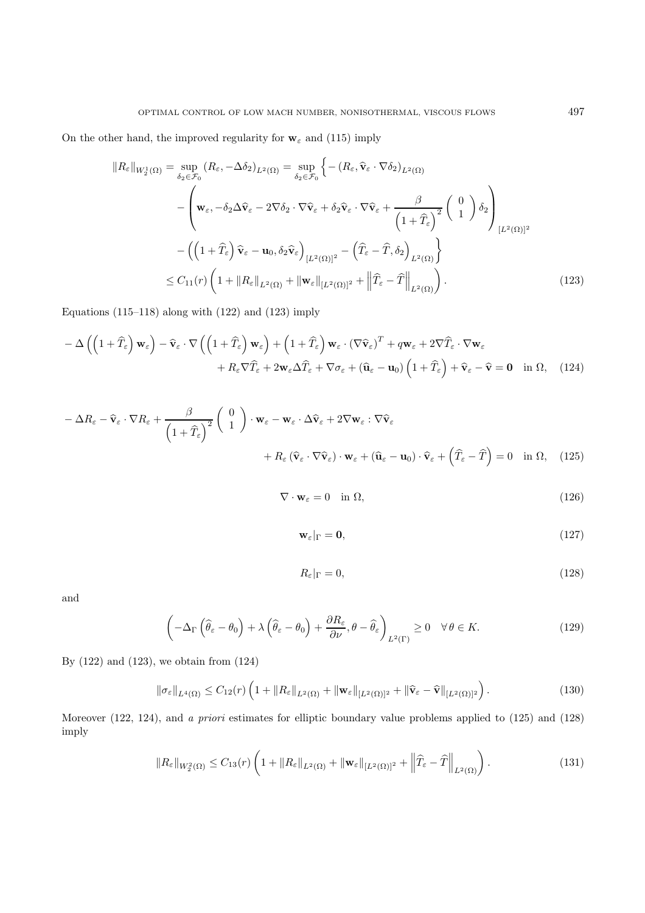On the other hand, the improved regularity for  $w_{\varepsilon}$  and (115) imply

$$
||R_{\varepsilon}||_{W_{2}^{1}(\Omega)} = \sup_{\delta_{2} \in \mathcal{F}_{0}} (R_{\varepsilon}, -\Delta \delta_{2})_{L^{2}(\Omega)} = \sup_{\delta_{2} \in \mathcal{F}_{0}} \left\{ -(R_{\varepsilon}, \widehat{\mathbf{v}}_{\varepsilon} \cdot \nabla \delta_{2})_{L^{2}(\Omega)} - \left( \mathbf{w}_{\varepsilon}, -\delta_{2} \Delta \widehat{\mathbf{v}}_{\varepsilon} - 2 \nabla \delta_{2} \cdot \nabla \widehat{\mathbf{v}}_{\varepsilon} + \delta_{2} \widehat{\mathbf{v}}_{\varepsilon} \cdot \nabla \widehat{\mathbf{v}}_{\varepsilon} + \frac{\beta}{\left( 1 + \widehat{T}_{\varepsilon} \right)^{2}} \left( 0 \right) \delta_{2} \right) \right\}
$$

$$
- \left( \left( 1 + \widehat{T}_{\varepsilon} \right) \widehat{\mathbf{v}}_{\varepsilon} - \mathbf{u}_{0}, \delta_{2} \widehat{\mathbf{v}}_{\varepsilon} \right)_{[L^{2}(\Omega)]^{2}} - \left( \widehat{T}_{\varepsilon} - \widehat{T}, \delta_{2} \right)_{L^{2}(\Omega)} \right\}
$$

$$
\leq C_{11}(r) \left( 1 + ||R_{\varepsilon}||_{L^{2}(\Omega)} + ||\mathbf{w}_{\varepsilon}||_{[L^{2}(\Omega)]^{2}} + \left\| \widehat{T}_{\varepsilon} - \widehat{T} \right\|_{L^{2}(\Omega)} \right). \tag{123}
$$

Equations (115–118) along with  $(122)$  and  $(123)$  imply

$$
- \Delta \left( \left( 1 + \widehat{T}_{\varepsilon} \right) \mathbf{w}_{\varepsilon} \right) - \widehat{\mathbf{v}}_{\varepsilon} \cdot \nabla \left( \left( 1 + \widehat{T}_{\varepsilon} \right) \mathbf{w}_{\varepsilon} \right) + \left( 1 + \widehat{T}_{\varepsilon} \right) \mathbf{w}_{\varepsilon} \cdot \left( \nabla \widehat{\mathbf{v}}_{\varepsilon} \right)^{T} + q \mathbf{w}_{\varepsilon} + 2 \nabla \widehat{T}_{\varepsilon} \cdot \nabla \mathbf{w}_{\varepsilon} + R_{\varepsilon} \nabla \widehat{T}_{\varepsilon} + 2 \mathbf{w}_{\varepsilon} \Delta \widehat{T}_{\varepsilon} + \nabla \sigma_{\varepsilon} + \left( \widehat{\mathbf{u}}_{\varepsilon} - \mathbf{u}_{0} \right) \left( 1 + \widehat{T}_{\varepsilon} \right) + \widehat{\mathbf{v}}_{\varepsilon} - \widehat{\mathbf{v}} = \mathbf{0} \quad \text{in } \Omega, \quad (124)
$$

$$
- \Delta R_{\varepsilon} - \widehat{\mathbf{v}}_{\varepsilon} \cdot \nabla R_{\varepsilon} + \frac{\beta}{\left(1 + \widehat{T}_{\varepsilon}\right)^{2}} \left(\begin{array}{c} 0\\1 \end{array}\right) \cdot \mathbf{w}_{\varepsilon} - \mathbf{w}_{\varepsilon} \cdot \Delta \widehat{\mathbf{v}}_{\varepsilon} + 2 \nabla \mathbf{w}_{\varepsilon} : \nabla \widehat{\mathbf{v}}_{\varepsilon} + R_{\varepsilon} \left(\widehat{\mathbf{v}}_{\varepsilon} \cdot \nabla \widehat{\mathbf{v}}_{\varepsilon}\right) \cdot \mathbf{w}_{\varepsilon} + \left(\widehat{\mathbf{u}}_{\varepsilon} - \mathbf{u}_{0}\right) \cdot \widehat{\mathbf{v}}_{\varepsilon} + \left(\widehat{T}_{\varepsilon} - \widehat{T}\right) = 0 \quad \text{in } \Omega, \quad (125)
$$

$$
\nabla \cdot \mathbf{w}_{\varepsilon} = 0 \quad \text{in } \Omega,
$$
\n<sup>(126)</sup>

$$
\mathbf{w}_{\varepsilon}|_{\Gamma} = \mathbf{0},\tag{127}
$$

$$
R_{\varepsilon}|_{\Gamma} = 0,\tag{128}
$$

and

$$
\left(-\Delta_{\Gamma}\left(\widehat{\theta}_{\varepsilon}-\theta_{0}\right)+\lambda\left(\widehat{\theta}_{\varepsilon}-\theta_{0}\right)+\frac{\partial R_{\varepsilon}}{\partial\nu},\theta-\widehat{\theta}_{\varepsilon}\right)_{L^{2}(\Gamma)}\geq0\quad\forall\,\theta\in K.\tag{129}
$$

By (122) and (123), we obtain from (124)

$$
\|\sigma_{\varepsilon}\|_{L^{4}(\Omega)} \leq C_{12}(r) \left(1 + \|R_{\varepsilon}\|_{L^{2}(\Omega)} + \|\mathbf{w}_{\varepsilon}\|_{[L^{2}(\Omega)]^{2}} + \|\widehat{\mathbf{v}}_{\varepsilon} - \widehat{\mathbf{v}}\|_{[L^{2}(\Omega)]^{2}}\right).
$$
\n(130)

Moreover (122, 124), and a priori estimates for elliptic boundary value problems applied to (125) and (128) imply

$$
||R_{\varepsilon}||_{W_2^2(\Omega)} \le C_{13}(r) \left(1 + ||R_{\varepsilon}||_{L^2(\Omega)} + ||\mathbf{w}_{\varepsilon}||_{[L^2(\Omega)]^2} + ||\widehat{T}_{\varepsilon} - \widehat{T}||_{L^2(\Omega)}\right).
$$
\n(131)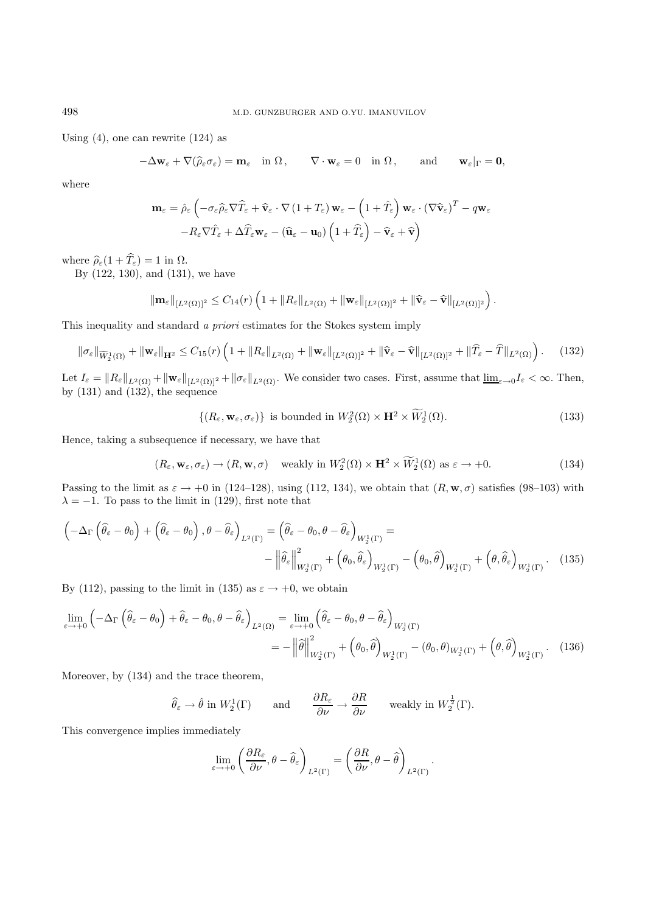Using  $(4)$ , one can rewrite  $(124)$  as

$$
-\Delta \mathbf{w}_{\varepsilon} + \nabla (\widehat{\rho}_{\varepsilon} \sigma_{\varepsilon}) = \mathbf{m}_{\varepsilon} \quad \text{in } \Omega \,, \qquad \nabla \cdot \mathbf{w}_{\varepsilon} = 0 \quad \text{in } \Omega \,, \qquad \text{and} \qquad \mathbf{w}_{\varepsilon}|_{\Gamma} = \mathbf{0},
$$

where

$$
\mathbf{m}_{\varepsilon} = \hat{\rho}_{\varepsilon} \left( -\sigma_{\varepsilon} \hat{\rho}_{\varepsilon} \nabla \widehat{T}_{\varepsilon} + \widehat{\mathbf{v}}_{\varepsilon} \cdot \nabla (1 + T_{\varepsilon}) \mathbf{w}_{\varepsilon} - \left( 1 + \widehat{T}_{\varepsilon} \right) \mathbf{w}_{\varepsilon} \cdot (\nabla \widehat{\mathbf{v}}_{\varepsilon})^{T} - q \mathbf{w}_{\varepsilon} - R_{\varepsilon} \nabla \widehat{T}_{\varepsilon} + \Delta \widehat{T}_{\varepsilon} \mathbf{w}_{\varepsilon} - (\widehat{\mathbf{u}}_{\varepsilon} - \mathbf{u}_{0}) \left( 1 + \widehat{T}_{\varepsilon} \right) - \widehat{\mathbf{v}}_{\varepsilon} + \widehat{\mathbf{v}} \right)
$$

where  $\widehat{\rho}_{\varepsilon}(1 + \widehat{T}_{\varepsilon}) = 1$  in  $\Omega$ .

By (122, 130), and (131), we have

$$
\|\mathbf{m}_{\varepsilon}\|_{[L^2(\Omega)]^2} \leq C_{14}(r) \left(1 + \|R_{\varepsilon}\|_{L^2(\Omega)} + \|\mathbf{w}_{\varepsilon}\|_{[L^2(\Omega)]^2} + \|\widehat{\mathbf{v}}_{\varepsilon} - \widehat{\mathbf{v}}\|_{[L^2(\Omega)]^2}\right).
$$

This inequality and standard a priori estimates for the Stokes system imply

$$
\|\sigma_{\varepsilon}\|_{\widetilde{W}_{2}^{1}(\Omega)} + \|\mathbf{w}_{\varepsilon}\|_{\mathbf{H}^{2}} \leq C_{15}(r) \left(1 + \|R_{\varepsilon}\|_{L^{2}(\Omega)} + \|\mathbf{w}_{\varepsilon}\|_{[L^{2}(\Omega)]^{2}} + \|\widehat{\mathbf{v}}_{\varepsilon} - \widehat{\mathbf{v}}\|_{[L^{2}(\Omega)]^{2}} + \|\widehat{T}_{\varepsilon} - \widehat{T}\|_{L^{2}(\Omega)}\right). \tag{132}
$$

Let  $I_{\varepsilon} = ||R_{\varepsilon}||_{L^2(\Omega)} + ||\mathbf{w}_{\varepsilon}||_{L^2(\Omega)^2} + ||\sigma_{\varepsilon}||_{L^2(\Omega)}$ . We consider two cases. First, assume that  $\underline{\lim}_{\varepsilon \to 0} I_{\varepsilon} < \infty$ . Then, by  $(131)$  and  $(132)$ , the sequence

$$
\{(R_{\varepsilon}, \mathbf{w}_{\varepsilon}, \sigma_{\varepsilon})\} \text{ is bounded in } W_2^2(\Omega) \times \mathbf{H}^2 \times W_2^1(\Omega). \tag{133}
$$

Hence, taking a subsequence if necessary, we have that

$$
(R_{\varepsilon}, \mathbf{w}_{\varepsilon}, \sigma_{\varepsilon}) \to (R, \mathbf{w}, \sigma) \quad \text{weakly in } W_2^2(\Omega) \times \mathbf{H}^2 \times \widetilde{W}_2^1(\Omega) \text{ as } \varepsilon \to +0. \tag{134}
$$

Passing to the limit as  $\varepsilon \to +0$  in (124–128), using (112, 134), we obtain that  $(R, \mathbf{w}, \sigma)$  satisfies (98–103) with  $\lambda = -1$ . To pass to the limit in (129), first note that

$$
\left(-\Delta_{\Gamma}\left(\widehat{\theta}_{\varepsilon}-\theta_{0}\right)+\left(\widehat{\theta}_{\varepsilon}-\theta_{0}\right),\theta-\widehat{\theta}_{\varepsilon}\right)_{L^{2}(\Gamma)}=\left(\widehat{\theta}_{\varepsilon}-\theta_{0},\theta-\widehat{\theta}_{\varepsilon}\right)_{W_{2}^{1}(\Gamma)}=\n-\left\|\widehat{\theta}_{\varepsilon}\right\|_{W_{2}^{1}(\Gamma)}^{2}+\left(\theta_{0},\widehat{\theta}_{\varepsilon}\right)_{W_{2}^{1}(\Gamma)}-\left(\theta_{0},\widehat{\theta}\right)_{W_{2}^{1}(\Gamma)}+\left(\theta,\widehat{\theta}_{\varepsilon}\right)_{W_{2}^{1}(\Gamma)}.\tag{135}
$$

By (112), passing to the limit in (135) as  $\varepsilon \to +0$ , we obtain

$$
\lim_{\varepsilon \to +0} \left( -\Delta_{\Gamma} \left( \widehat{\theta}_{\varepsilon} - \theta_{0} \right) + \widehat{\theta}_{\varepsilon} - \theta_{0}, \theta - \widehat{\theta}_{\varepsilon} \right)_{L^{2}(\Omega)} = \lim_{\varepsilon \to +0} \left( \widehat{\theta}_{\varepsilon} - \theta_{0}, \theta - \widehat{\theta}_{\varepsilon} \right)_{W_{2}^{1}(\Gamma)} \n= -\left\| \widehat{\theta} \right\|_{W_{2}^{1}(\Gamma)}^{2} + \left( \theta_{0}, \widehat{\theta} \right)_{W_{2}^{1}(\Gamma)} - \left( \theta_{0}, \theta \right)_{W_{2}^{1}(\Gamma)} + \left( \theta, \widehat{\theta} \right)_{W_{2}^{1}(\Gamma)}.
$$
\n(136)

Moreover, by (134) and the trace theorem,

$$
\widehat{\theta}_{\varepsilon} \to \widehat{\theta}
$$
 in  $W_2^1(\Gamma)$  and  $\frac{\partial R_{\varepsilon}}{\partial \nu} \to \frac{\partial R}{\partial \nu}$  weakly in  $W_2^{\frac{1}{2}}(\Gamma)$ .

This convergence implies immediately

$$
\lim_{\varepsilon \to +0} \left( \frac{\partial R_{\varepsilon}}{\partial \nu}, \theta - \widehat{\theta}_{\varepsilon} \right)_{L^{2}(\Gamma)} = \left( \frac{\partial R}{\partial \nu}, \theta - \widehat{\theta} \right)_{L^{2}(\Gamma)}.
$$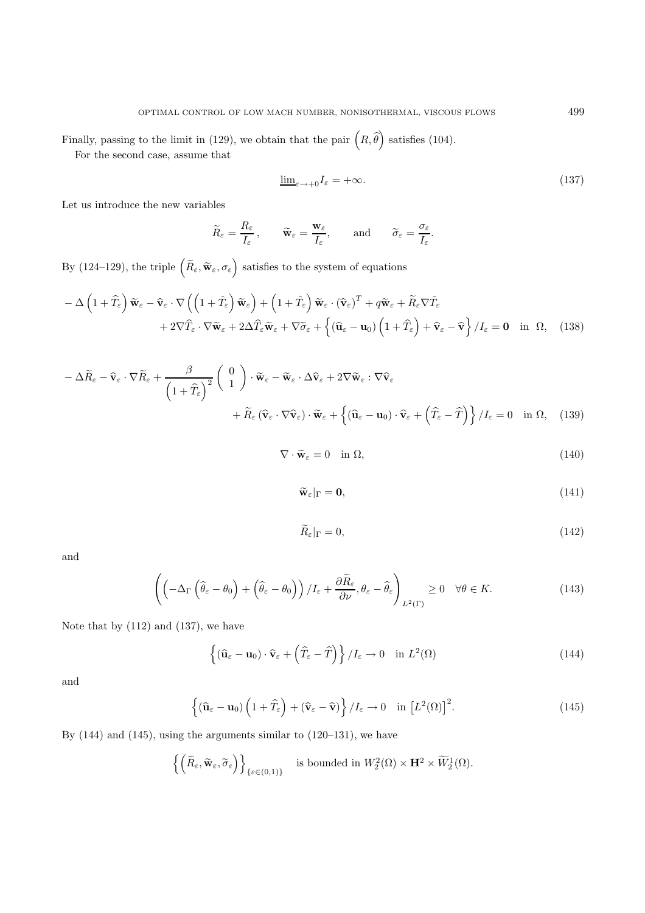Finally, passing to the limit in (129), we obtain that the pair  $\left(R,\hat{\theta}\right)$ ) satisfies  $(104)$ .

For the second case, assume that

$$
\underline{\lim}_{\varepsilon \to +0} I_{\varepsilon} = +\infty. \tag{137}
$$

.

Let us introduce the new variables

$$
\widetilde{R}_{\varepsilon} = \frac{R_{\varepsilon}}{I_{\varepsilon}}, \qquad \widetilde{\mathbf{w}}_{\varepsilon} = \frac{\mathbf{w}_{\varepsilon}}{I_{\varepsilon}}, \qquad \text{and} \qquad \widetilde{\sigma}_{\varepsilon} = \frac{\sigma_{\varepsilon}}{I_{\varepsilon}}
$$

By (124–129), the triple  $(\widetilde{R}_{\varepsilon}, \widetilde{\mathbf{w}}_{\varepsilon}, \sigma_{\varepsilon})$  satisfies to the system of equations

$$
- \Delta \left( 1 + \widehat{T}_{\varepsilon} \right) \widetilde{\mathbf{w}}_{\varepsilon} - \widehat{\mathbf{v}}_{\varepsilon} \cdot \nabla \left( \left( 1 + \widehat{T}_{\varepsilon} \right) \widetilde{\mathbf{w}}_{\varepsilon} \right) + \left( 1 + \widehat{T}_{\varepsilon} \right) \widetilde{\mathbf{w}}_{\varepsilon} \cdot (\widehat{\mathbf{v}}_{\varepsilon})^T + q \widetilde{\mathbf{w}}_{\varepsilon} + \widetilde{R}_{\varepsilon} \nabla \widehat{T}_{\varepsilon} + 2 \nabla \widehat{T}_{\varepsilon} \cdot \nabla \widetilde{\mathbf{w}}_{\varepsilon} + 2 \Delta \widehat{T}_{\varepsilon} \widetilde{\mathbf{w}}_{\varepsilon} + \nabla \widetilde{\sigma}_{\varepsilon} + \left\{ (\widehat{\mathbf{u}}_{\varepsilon} - \mathbf{u}_0) \left( 1 + \widehat{T}_{\varepsilon} \right) + \widehat{\mathbf{v}}_{\varepsilon} - \widehat{\mathbf{v}} \right\} / I_{\varepsilon} = \mathbf{0} \text{ in } \Omega, \quad (138)
$$

$$
- \Delta \widetilde{R}_{\varepsilon} - \widehat{\mathbf{v}}_{\varepsilon} \cdot \nabla \widetilde{R}_{\varepsilon} + \frac{\beta}{\left(1 + \widehat{T}_{\varepsilon}\right)^{2}} \left(\begin{array}{c} 0\\1 \end{array}\right) \cdot \widetilde{\mathbf{w}}_{\varepsilon} - \widetilde{\mathbf{w}}_{\varepsilon} \cdot \Delta \widehat{\mathbf{v}}_{\varepsilon} + 2 \nabla \widetilde{\mathbf{w}}_{\varepsilon} : \nabla \widehat{\mathbf{v}}_{\varepsilon} + \widetilde{R}_{\varepsilon} \left(\widehat{\mathbf{v}}_{\varepsilon} \cdot \nabla \widehat{\mathbf{v}}_{\varepsilon}\right) \cdot \widetilde{\mathbf{w}}_{\varepsilon} + \left\{\left(\widehat{\mathbf{u}}_{\varepsilon} - \mathbf{u}_{0}\right) \cdot \widehat{\mathbf{v}}_{\varepsilon} + \left(\widehat{T}_{\varepsilon} - \widehat{T}\right)\right\} / I_{\varepsilon} = 0 \quad \text{in } \Omega, \quad (139)
$$

 $\nabla \cdot \widetilde{\mathbf{w}}_{\varepsilon} = 0 \quad \text{in } \Omega,$ (140)

$$
\widetilde{\mathbf{w}}_{\varepsilon}|_{\Gamma} = \mathbf{0},\tag{141}
$$

$$
\widetilde{R}_{\varepsilon}|_{\Gamma} = 0,\tag{142}
$$

and

$$
\left( \left( -\Delta_{\Gamma} \left( \widehat{\theta}_{\varepsilon} - \theta_0 \right) + \left( \widehat{\theta}_{\varepsilon} - \theta_0 \right) \right) / I_{\varepsilon} + \frac{\partial \widetilde{R}_{\varepsilon}}{\partial \nu}, \theta_{\varepsilon} - \widehat{\theta}_{\varepsilon} \right)_{L^2(\Gamma)} \ge 0 \quad \forall \theta \in K.
$$
\n(143)

Note that by (112) and (137), we have

$$
\left\{ (\widehat{\mathbf{u}}_{\varepsilon} - \mathbf{u}_0) \cdot \widehat{\mathbf{v}}_{\varepsilon} + \left( \widehat{T}_{\varepsilon} - \widehat{T} \right) \right\} / I_{\varepsilon} \to 0 \quad \text{in } L^2(\Omega)
$$
\n(144)

and

$$
\left\{ \left( \widehat{\mathbf{u}}_{\varepsilon} - \mathbf{u}_0 \right) \left( 1 + \widehat{T}_{\varepsilon} \right) + \left( \widehat{\mathbf{v}}_{\varepsilon} - \widehat{\mathbf{v}} \right) \right\} / I_{\varepsilon} \to 0 \quad \text{in} \left[ L^2(\Omega) \right]^2. \tag{145}
$$

By (144) and (145), using the arguments similar to (120–131), we have

$$
\left\{ \left( \widetilde{R}_{\varepsilon}, \widetilde{\mathbf{w}}_{\varepsilon}, \widetilde{\sigma}_{\varepsilon} \right) \right\}_{\{\varepsilon \in (0,1)\}} \quad \text{is bounded in } W_2^2(\Omega) \times \mathbf{H}^2 \times \widetilde{W}_2^1(\Omega).
$$